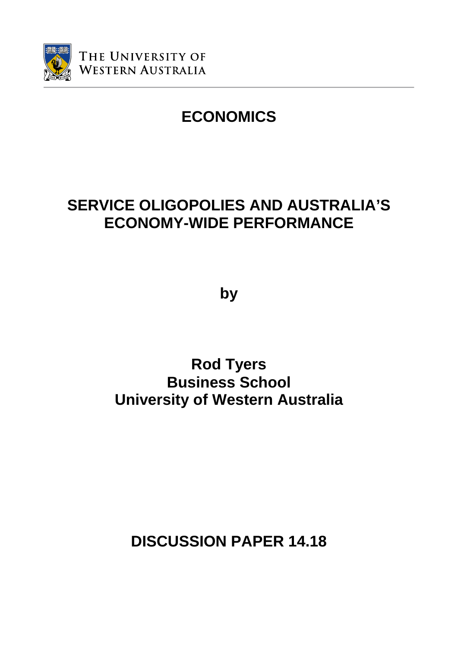

# **ECONOMICS**

# **SERVICE OLIGOPOLIES AND AUSTRALIA'S ECONOMY-WIDE PERFORMANCE**

**by**

**Rod Tyers Business School University of Western Australia**

**DISCUSSION PAPER 14.18**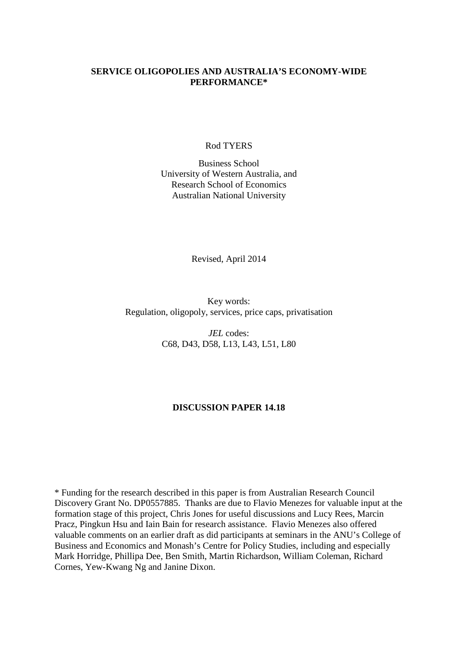### **SERVICE OLIGOPOLIES AND AUSTRALIA'S ECONOMY-WIDE PERFORMANCE\***

### Rod TYERS

Business School University of Western Australia, and Research School of Economics Australian National University

Revised, April 2014

Key words: Regulation, oligopoly, services, price caps, privatisation

> *JEL* codes: C68, D43, D58, L13, L43, L51, L80

### **DISCUSSION PAPER 14.18**

\* Funding for the research described in this paper is from Australian Research Council Discovery Grant No. DP0557885. Thanks are due to Flavio Menezes for valuable input at the formation stage of this project, Chris Jones for useful discussions and Lucy Rees, Marcin Pracz, Pingkun Hsu and Iain Bain for research assistance. Flavio Menezes also offered valuable comments on an earlier draft as did participants at seminars in the ANU's College of Business and Economics and Monash's Centre for Policy Studies, including and especially Mark Horridge, Phillipa Dee, Ben Smith, Martin Richardson, William Coleman, Richard Cornes, Yew-Kwang Ng and Janine Dixon.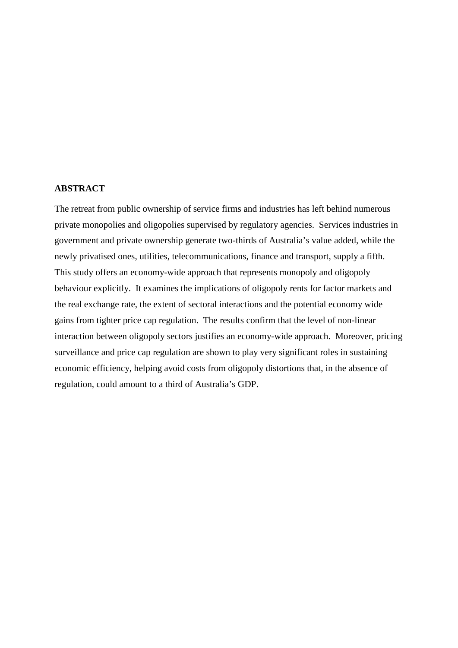### **ABSTRACT**

The retreat from public ownership of service firms and industries has left behind numerous private monopolies and oligopolies supervised by regulatory agencies. Services industries in government and private ownership generate two-thirds of Australia's value added, while the newly privatised ones, utilities, telecommunications, finance and transport, supply a fifth. This study offers an economy-wide approach that represents monopoly and oligopoly behaviour explicitly. It examines the implications of oligopoly rents for factor markets and the real exchange rate, the extent of sectoral interactions and the potential economy wide gains from tighter price cap regulation. The results confirm that the level of non-linear interaction between oligopoly sectors justifies an economy-wide approach. Moreover, pricing surveillance and price cap regulation are shown to play very significant roles in sustaining economic efficiency, helping avoid costs from oligopoly distortions that, in the absence of regulation, could amount to a third of Australia's GDP.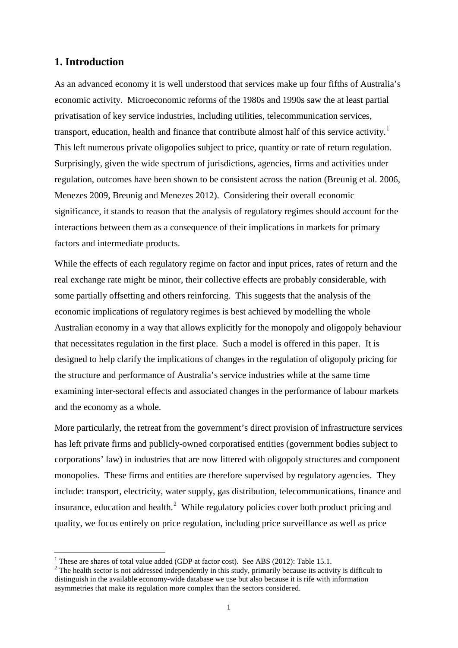## **1. Introduction**

<u>.</u>

As an advanced economy it is well understood that services make up four fifths of Australia's economic activity. Microeconomic reforms of the 1980s and 1990s saw the at least partial privatisation of key service industries, including utilities, telecommunication services, transport, education, health and finance that contribute almost half of this service activity.<sup>[1](#page-3-0)</sup> This left numerous private oligopolies subject to price, quantity or rate of return regulation. Surprisingly, given the wide spectrum of jurisdictions, agencies, firms and activities under regulation, outcomes have been shown to be consistent across the nation (Breunig et al. 2006, Menezes 2009, Breunig and Menezes 2012). Considering their overall economic significance, it stands to reason that the analysis of regulatory regimes should account for the interactions between them as a consequence of their implications in markets for primary factors and intermediate products.

While the effects of each regulatory regime on factor and input prices, rates of return and the real exchange rate might be minor, their collective effects are probably considerable, with some partially offsetting and others reinforcing. This suggests that the analysis of the economic implications of regulatory regimes is best achieved by modelling the whole Australian economy in a way that allows explicitly for the monopoly and oligopoly behaviour that necessitates regulation in the first place. Such a model is offered in this paper. It is designed to help clarify the implications of changes in the regulation of oligopoly pricing for the structure and performance of Australia's service industries while at the same time examining inter-sectoral effects and associated changes in the performance of labour markets and the economy as a whole.

More particularly, the retreat from the government's direct provision of infrastructure services has left private firms and publicly-owned corporatised entities (government bodies subject to corporations' law) in industries that are now littered with oligopoly structures and component monopolies. These firms and entities are therefore supervised by regulatory agencies. They include: transport, electricity, water supply, gas distribution, telecommunications, finance and insurance, education and health.<sup>[2](#page-3-1)</sup> While regulatory policies cover both product pricing and quality, we focus entirely on price regulation, including price surveillance as well as price

<span id="page-3-1"></span>

<span id="page-3-0"></span><sup>&</sup>lt;sup>1</sup> These are shares of total value added (GDP at factor cost). See ABS (2012): Table 15.1. <sup>2</sup> The health sector is not addressed independently in this study, primarily because its activity is difficult to distinguish in the available economy-wide database we use but also because it is rife with information asymmetries that make its regulation more complex than the sectors considered.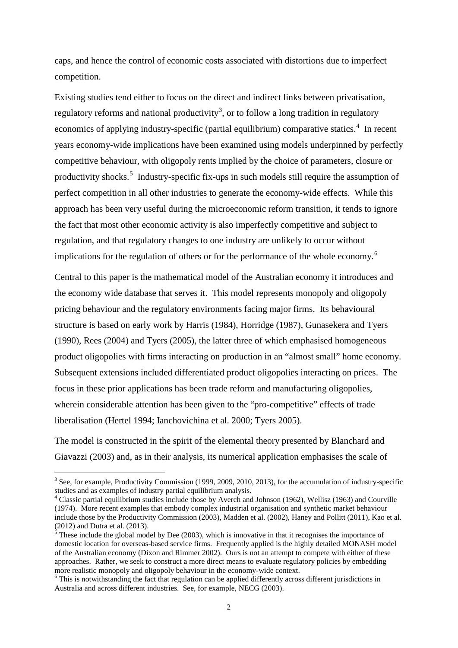caps, and hence the control of economic costs associated with distortions due to imperfect competition.

Existing studies tend either to focus on the direct and indirect links between privatisation, regulatory reforms and national productivity<sup>[3](#page-4-0)</sup>, or to follow a long tradition in regulatory economics of applying industry-specific (partial equilibrium) comparative statics.<sup>[4](#page-4-1)</sup> In recent years economy-wide implications have been examined using models underpinned by perfectly competitive behaviour, with oligopoly rents implied by the choice of parameters, closure or productivity shocks.<sup>[5](#page-4-2)</sup> Industry-specific fix-ups in such models still require the assumption of perfect competition in all other industries to generate the economy-wide effects. While this approach has been very useful during the microeconomic reform transition, it tends to ignore the fact that most other economic activity is also imperfectly competitive and subject to regulation, and that regulatory changes to one industry are unlikely to occur without implications for the regulation of others or for the performance of the whole economy.<sup>[6](#page-4-3)</sup>

Central to this paper is the mathematical model of the Australian economy it introduces and the economy wide database that serves it. This model represents monopoly and oligopoly pricing behaviour and the regulatory environments facing major firms. Its behavioural structure is based on early work by Harris (1984), Horridge (1987), Gunasekera and Tyers (1990), Rees (2004) and Tyers (2005), the latter three of which emphasised homogeneous product oligopolies with firms interacting on production in an "almost small" home economy. Subsequent extensions included differentiated product oligopolies interacting on prices. The focus in these prior applications has been trade reform and manufacturing oligopolies, wherein considerable attention has been given to the "pro-competitive" effects of trade liberalisation (Hertel 1994; Ianchovichina et al. 2000; Tyers 2005).

The model is constructed in the spirit of the elemental theory presented by Blanchard and Giavazzi (2003) and, as in their analysis, its numerical application emphasises the scale of

<u>.</u>

<span id="page-4-0"></span><sup>&</sup>lt;sup>3</sup> See, for example, Productivity Commission (1999, 2009, 2010, 2013), for the accumulation of industry-specific studies and as examples of industry partial equilibrium analysis.

<span id="page-4-1"></span><sup>&</sup>lt;sup>4</sup> Classic partial equilibrium studies include those by Averch and Johnson (1962), Wellisz (1963) and Courville (1974). More recent examples that embody complex industrial organisation and synthetic market behaviour include those by the Productivity Commission (2003), Madden et al. (2002), Haney and Pollitt (2011), Kao et al. (2012) and Dutra et al. (2013).

<span id="page-4-2"></span> $\frac{5}{5}$  These include the global model by Dee (2003), which is innovative in that it recognises the importance of domestic location for overseas-based service firms. Frequently applied is the highly detailed MONASH model of the Australian economy (Dixon and Rimmer 2002). Ours is not an attempt to compete with either of these approaches. Rather, we seek to construct a more direct means to evaluate regulatory policies by embedding more realistic monopoly and oligopoly behaviour in the economy-wide context.<br><sup>6</sup> This is notwithstanding the fact that regulation can be applied differently across different jurisdictions in

<span id="page-4-3"></span>Australia and across different industries. See, for example, NECG (2003).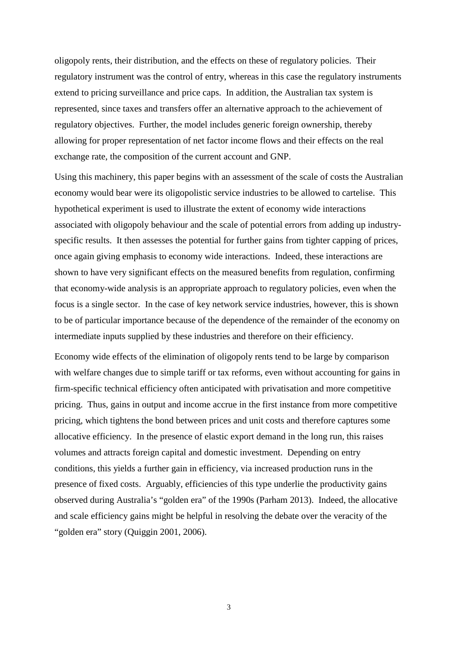oligopoly rents, their distribution, and the effects on these of regulatory policies. Their regulatory instrument was the control of entry, whereas in this case the regulatory instruments extend to pricing surveillance and price caps. In addition, the Australian tax system is represented, since taxes and transfers offer an alternative approach to the achievement of regulatory objectives. Further, the model includes generic foreign ownership, thereby allowing for proper representation of net factor income flows and their effects on the real exchange rate, the composition of the current account and GNP.

Using this machinery, this paper begins with an assessment of the scale of costs the Australian economy would bear were its oligopolistic service industries to be allowed to cartelise. This hypothetical experiment is used to illustrate the extent of economy wide interactions associated with oligopoly behaviour and the scale of potential errors from adding up industryspecific results. It then assesses the potential for further gains from tighter capping of prices, once again giving emphasis to economy wide interactions. Indeed, these interactions are shown to have very significant effects on the measured benefits from regulation, confirming that economy-wide analysis is an appropriate approach to regulatory policies, even when the focus is a single sector. In the case of key network service industries, however, this is shown to be of particular importance because of the dependence of the remainder of the economy on intermediate inputs supplied by these industries and therefore on their efficiency.

Economy wide effects of the elimination of oligopoly rents tend to be large by comparison with welfare changes due to simple tariff or tax reforms, even without accounting for gains in firm-specific technical efficiency often anticipated with privatisation and more competitive pricing. Thus, gains in output and income accrue in the first instance from more competitive pricing, which tightens the bond between prices and unit costs and therefore captures some allocative efficiency. In the presence of elastic export demand in the long run, this raises volumes and attracts foreign capital and domestic investment. Depending on entry conditions, this yields a further gain in efficiency, via increased production runs in the presence of fixed costs. Arguably, efficiencies of this type underlie the productivity gains observed during Australia's "golden era" of the 1990s (Parham 2013). Indeed, the allocative and scale efficiency gains might be helpful in resolving the debate over the veracity of the "golden era" story (Quiggin 2001, 2006).

3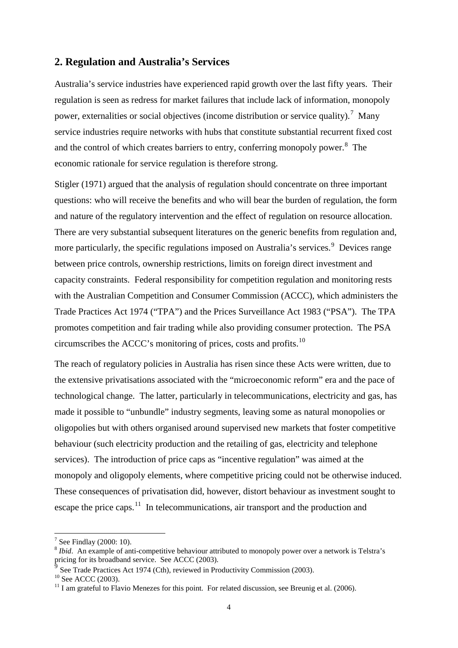## **2. Regulation and Australia's Services**

Australia's service industries have experienced rapid growth over the last fifty years. Their regulation is seen as redress for market failures that include lack of information, monopoly power, externalities or social objectives (income distribution or service quality).<sup>[7](#page-6-0)</sup> Many service industries require networks with hubs that constitute substantial recurrent fixed cost and the control of which creates barriers to entry, conferring monopoly power.<sup>[8](#page-6-1)</sup> The economic rationale for service regulation is therefore strong.

Stigler (1971) argued that the analysis of regulation should concentrate on three important questions: who will receive the benefits and who will bear the burden of regulation, the form and nature of the regulatory intervention and the effect of regulation on resource allocation. There are very substantial subsequent literatures on the generic benefits from regulation and, more particularly, the specific regulations imposed on Australia's services.<sup>[9](#page-6-2)</sup> Devices range between price controls, ownership restrictions, limits on foreign direct investment and capacity constraints. Federal responsibility for competition regulation and monitoring rests with the Australian Competition and Consumer Commission (ACCC), which administers the Trade Practices Act 1974 ("TPA") and the Prices Surveillance Act 1983 ("PSA"). The TPA promotes competition and fair trading while also providing consumer protection. The PSA circumscribes the ACCC's monitoring of prices, costs and profits.<sup>[10](#page-6-3)</sup>

The reach of regulatory policies in Australia has risen since these Acts were written, due to the extensive privatisations associated with the "microeconomic reform" era and the pace of technological change. The latter, particularly in telecommunications, electricity and gas, has made it possible to "unbundle" industry segments, leaving some as natural monopolies or oligopolies but with others organised around supervised new markets that foster competitive behaviour (such electricity production and the retailing of gas, electricity and telephone services). The introduction of price caps as "incentive regulation" was aimed at the monopoly and oligopoly elements, where competitive pricing could not be otherwise induced. These consequences of privatisation did, however, distort behaviour as investment sought to escape the price caps. $11$  In telecommunications, air transport and the production and

<span id="page-6-0"></span><sup>&</sup>lt;sup>7</sup> See Findlay (2000: 10).

<span id="page-6-1"></span><sup>&</sup>lt;sup>8</sup> Ibid. An example of anti-competitive behaviour attributed to monopoly power over a network is Telstra's pricing for its broadband service. See ACCC (2003).

<span id="page-6-2"></span> $9^9$  See Trade Practices Act 1974 (Cth), reviewed in Productivity Commission (2003).<br><sup>10</sup> See ACCC (2003).

<span id="page-6-4"></span><span id="page-6-3"></span> $^{11}$  I am grateful to Flavio Menezes for this point. For related discussion, see Breunig et al. (2006).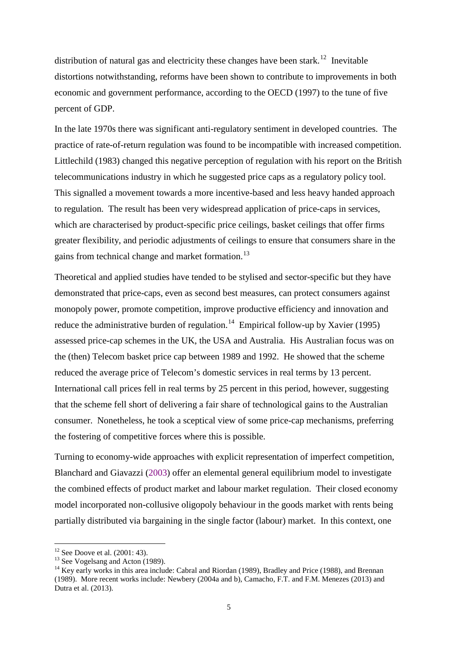distribution of natural gas and electricity these changes have been stark.<sup>12</sup> Inevitable distortions notwithstanding, reforms have been shown to contribute to improvements in both economic and government performance, according to the OECD (1997) to the tune of five percent of GDP.

In the late 1970s there was significant anti-regulatory sentiment in developed countries. The practice of rate-of-return regulation was found to be incompatible with increased competition. Littlechild (1983) changed this negative perception of regulation with his report on the British telecommunications industry in which he suggested price caps as a regulatory policy tool. This signalled a movement towards a more incentive-based and less heavy handed approach to regulation. The result has been very widespread application of price-caps in services, which are characterised by product-specific price ceilings, basket ceilings that offer firms greater flexibility, and periodic adjustments of ceilings to ensure that consumers share in the gains from technical change and market formation.<sup>[13](#page-7-1)</sup>

Theoretical and applied studies have tended to be stylised and sector-specific but they have demonstrated that price-caps, even as second best measures, can protect consumers against monopoly power, promote competition, improve productive efficiency and innovation and reduce the administrative burden of regulation.<sup>14</sup> Empirical follow-up by Xavier (1995) assessed price-cap schemes in the UK, the USA and Australia. His Australian focus was on the (then) Telecom basket price cap between 1989 and 1992. He showed that the scheme reduced the average price of Telecom's domestic services in real terms by 13 percent. International call prices fell in real terms by 25 percent in this period, however, suggesting that the scheme fell short of delivering a fair share of technological gains to the Australian consumer. Nonetheless, he took a sceptical view of some price-cap mechanisms, preferring the fostering of competitive forces where this is possible.

Turning to economy-wide approaches with explicit representation of imperfect competition, Blanchard and Giavazzi (2003) offer an elemental general equilibrium model to investigate the combined effects of product market and labour market regulation. Their closed economy model incorporated non-collusive oligopoly behaviour in the goods market with rents being partially distributed via bargaining in the single factor (labour) market. In this context, one

<span id="page-7-0"></span> $12$  See Doove et al. (2001: 43).

<span id="page-7-2"></span>

<span id="page-7-1"></span><sup>&</sup>lt;sup>13</sup> See Vogelsang and Acton (1989).<br><sup>14</sup> Key early works in this area include: Cabral and Riordan (1989). Bradley and Price (1988), and Brennan (1989). More recent works include: Newbery (2004a and b), Camacho, F.T. and F.M. Menezes (2013) and Dutra et al. (2013).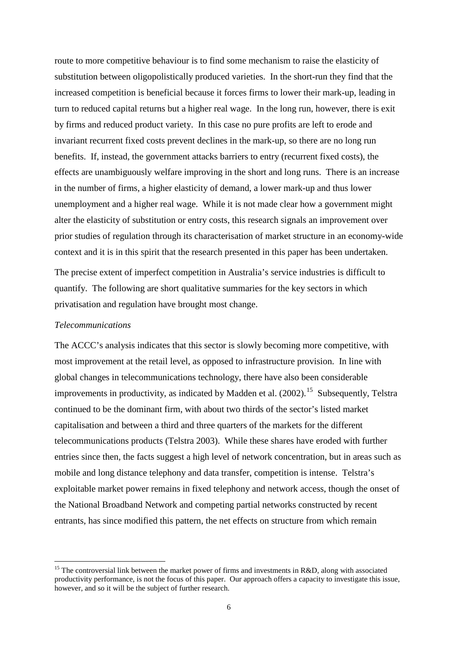route to more competitive behaviour is to find some mechanism to raise the elasticity of substitution between oligopolistically produced varieties. In the short-run they find that the increased competition is beneficial because it forces firms to lower their mark-up, leading in turn to reduced capital returns but a higher real wage. In the long run, however, there is exit by firms and reduced product variety. In this case no pure profits are left to erode and invariant recurrent fixed costs prevent declines in the mark-up, so there are no long run benefits. If, instead, the government attacks barriers to entry (recurrent fixed costs), the effects are unambiguously welfare improving in the short and long runs. There is an increase in the number of firms, a higher elasticity of demand, a lower mark-up and thus lower unemployment and a higher real wage. While it is not made clear how a government might alter the elasticity of substitution or entry costs, this research signals an improvement over prior studies of regulation through its characterisation of market structure in an economy-wide context and it is in this spirit that the research presented in this paper has been undertaken.

The precise extent of imperfect competition in Australia's service industries is difficult to quantify. The following are short qualitative summaries for the key sectors in which privatisation and regulation have brought most change.

### *Telecommunications*

-

The ACCC's analysis indicates that this sector is slowly becoming more competitive, with most improvement at the retail level, as opposed to infrastructure provision. In line with global changes in telecommunications technology, there have also been considerable improvements in productivity, as indicated by Madden et al.  $(2002)$ <sup>15</sup> Subsequently, Telstra continued to be the dominant firm, with about two thirds of the sector's listed market capitalisation and between a third and three quarters of the markets for the different telecommunications products (Telstra 2003). While these shares have eroded with further entries since then, the facts suggest a high level of network concentration, but in areas such as mobile and long distance telephony and data transfer, competition is intense. Telstra's exploitable market power remains in fixed telephony and network access, though the onset of the National Broadband Network and competing partial networks constructed by recent entrants, has since modified this pattern, the net effects on structure from which remain

<span id="page-8-0"></span><sup>&</sup>lt;sup>15</sup> The controversial link between the market power of firms and investments in R&D, along with associated productivity performance, is not the focus of this paper. Our approach offers a capacity to investigate this issue, however, and so it will be the subject of further research.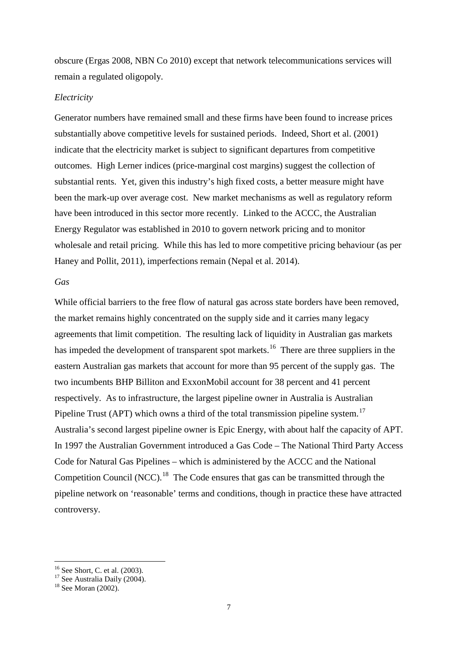obscure (Ergas 2008, NBN Co 2010) except that network telecommunications services will remain a regulated oligopoly.

### *Electricity*

Generator numbers have remained small and these firms have been found to increase prices substantially above competitive levels for sustained periods. Indeed, Short et al. (2001) indicate that the electricity market is subject to significant departures from competitive outcomes. High Lerner indices (price-marginal cost margins) suggest the collection of substantial rents. Yet, given this industry's high fixed costs, a better measure might have been the mark-up over average cost. New market mechanisms as well as regulatory reform have been introduced in this sector more recently. Linked to the ACCC, the Australian Energy Regulator was established in 2010 to govern network pricing and to monitor wholesale and retail pricing. While this has led to more competitive pricing behaviour (as per Haney and Pollit, 2011), imperfections remain (Nepal et al. 2014).

### *Gas*

While official barriers to the free flow of natural gas across state borders have been removed, the market remains highly concentrated on the supply side and it carries many legacy agreements that limit competition. The resulting lack of liquidity in Australian gas markets has impeded the development of transparent spot markets.<sup>16</sup> There are three suppliers in the eastern Australian gas markets that account for more than 95 percent of the supply gas. The two incumbents BHP Billiton and ExxonMobil account for 38 percent and 41 percent respectively. As to infrastructure, the largest pipeline owner in Australia is Australian Pipeline Trust (APT) which owns a third of the total transmission pipeline system.<sup>[17](#page-9-1)</sup> Australia's second largest pipeline owner is Epic Energy, with about half the capacity of APT. In 1997 the Australian Government introduced a Gas Code – The National Third Party Access Code for Natural Gas Pipelines – which is administered by the ACCC and the National Competition Council (NCC).<sup>[18](#page-9-2)</sup> The Code ensures that gas can be transmitted through the pipeline network on 'reasonable' terms and conditions, though in practice these have attracted controversy.

<span id="page-9-0"></span> $16$  See Short, C. et al. (2003).

<span id="page-9-1"></span> $\frac{17}{15}$  See Australia Daily (2004).  $\frac{18}{18}$  See Moran (2002).

<span id="page-9-2"></span>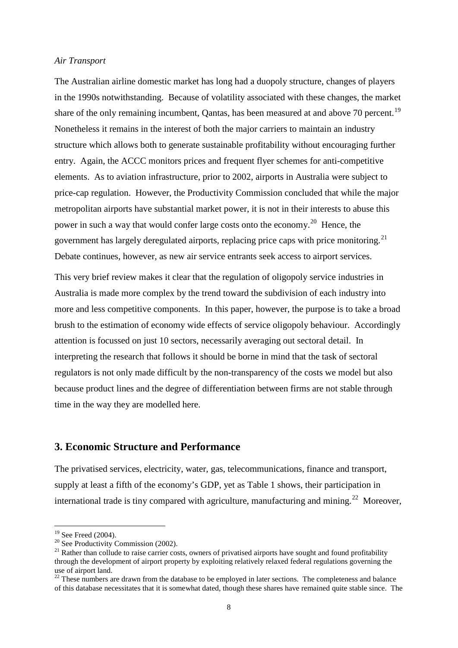### *Air Transport*

The Australian airline domestic market has long had a duopoly structure, changes of players in the 1990s notwithstanding. Because of volatility associated with these changes, the market share of the only remaining incumbent, Qantas, has been measured at and above 70 percent.<sup>[19](#page-10-0)</sup> Nonetheless it remains in the interest of both the major carriers to maintain an industry structure which allows both to generate sustainable profitability without encouraging further entry. Again, the ACCC monitors prices and frequent flyer schemes for anti-competitive elements. As to aviation infrastructure, prior to 2002, airports in Australia were subject to price-cap regulation. However, the Productivity Commission concluded that while the major metropolitan airports have substantial market power, it is not in their interests to abuse this power in such a way that would confer large costs onto the economy.<sup>20</sup> Hence, the government has largely deregulated airports, replacing price caps with price monitoring.<sup>21</sup> Debate continues, however, as new air service entrants seek access to airport services.

This very brief review makes it clear that the regulation of oligopoly service industries in Australia is made more complex by the trend toward the subdivision of each industry into more and less competitive components. In this paper, however, the purpose is to take a broad brush to the estimation of economy wide effects of service oligopoly behaviour. Accordingly attention is focussed on just 10 sectors, necessarily averaging out sectoral detail. In interpreting the research that follows it should be borne in mind that the task of sectoral regulators is not only made difficult by the non-transparency of the costs we model but also because product lines and the degree of differentiation between firms are not stable through time in the way they are modelled here.

## **3. Economic Structure and Performance**

The privatised services, electricity, water, gas, telecommunications, finance and transport, supply at least a fifth of the economy's GDP, yet as Table 1 shows, their participation in international trade is tiny compared with agriculture, manufacturing and mining.<sup>22</sup> Moreover.

 $19$  See Freed (2004).

<span id="page-10-2"></span>

<span id="page-10-1"></span><span id="page-10-0"></span><sup>&</sup>lt;sup>20</sup> See Productivity Commission (2002).<br><sup>21</sup> Rather than collude to raise carrier costs, owners of privatised airports have sought and found profitability through the development of airport property by exploiting relatively relaxed federal regulations governing the use of airport land.

<span id="page-10-3"></span><sup>&</sup>lt;sup>22</sup> These numbers are drawn from the database to be employed in later sections. The completeness and balance of this database necessitates that it is somewhat dated, though these shares have remained quite stable since. The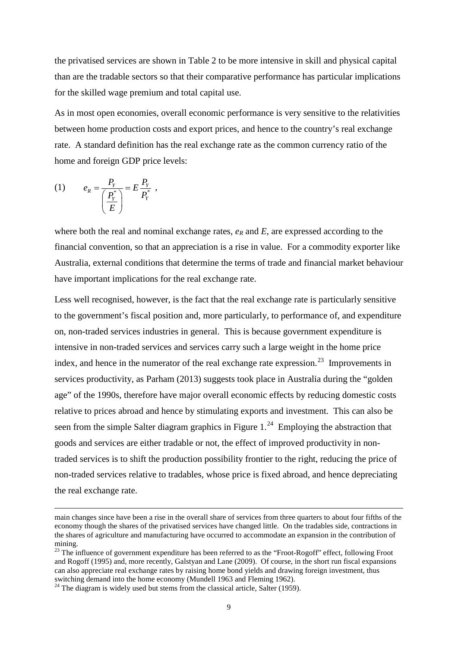the privatised services are shown in Table 2 to be more intensive in skill and physical capital than are the tradable sectors so that their comparative performance has particular implications for the skilled wage premium and total capital use.

As in most open economies, overall economic performance is very sensitive to the relativities between home production costs and export prices, and hence to the country's real exchange rate. A standard definition has the real exchange rate as the common currency ratio of the home and foreign GDP price levels:

$$
(1) \qquad e_R = \frac{P_Y}{\left(\frac{P_Y^*}{E}\right)} = E \frac{P_Y}{P_Y^*} ,
$$

-

where both the real and nominal exchange rates,  $e_R$  and  $E$ , are expressed according to the financial convention, so that an appreciation is a rise in value. For a commodity exporter like Australia, external conditions that determine the terms of trade and financial market behaviour have important implications for the real exchange rate.

Less well recognised, however, is the fact that the real exchange rate is particularly sensitive to the government's fiscal position and, more particularly, to performance of, and expenditure on, non-traded services industries in general. This is because government expenditure is intensive in non-traded services and services carry such a large weight in the home price index, and hence in the numerator of the real exchange rate expression.<sup>[23](#page-11-0)</sup> Improvements in services productivity, as Parham (2013) suggests took place in Australia during the "golden age" of the 1990s, therefore have major overall economic effects by reducing domestic costs relative to prices abroad and hence by stimulating exports and investment. This can also be seen from the simple Salter diagram graphics in Figure  $1<sup>24</sup>$  Employing the abstraction that goods and services are either tradable or not, the effect of improved productivity in nontraded services is to shift the production possibility frontier to the right, reducing the price of non-traded services relative to tradables, whose price is fixed abroad, and hence depreciating the real exchange rate.

main changes since have been a rise in the overall share of services from three quarters to about four fifths of the economy though the shares of the privatised services have changed little. On the tradables side, contractions in the shares of agriculture and manufacturing have occurred to accommodate an expansion in the contribution of mining.

<span id="page-11-0"></span><sup>&</sup>lt;sup>23</sup> The influence of government expenditure has been referred to as the "Froot-Rogoff" effect, following Froot and Rogoff (1995) and, more recently, Galstyan and Lane (2009). Of course, in the short run fiscal expansions can also appreciate real exchange rates by raising home bond yields and drawing foreign investment, thus switching demand into the home economy (Mundell 1963 and Fleming 1962).

<span id="page-11-1"></span> $24$  The diagram is widely used but stems from the classical article, Salter (1959).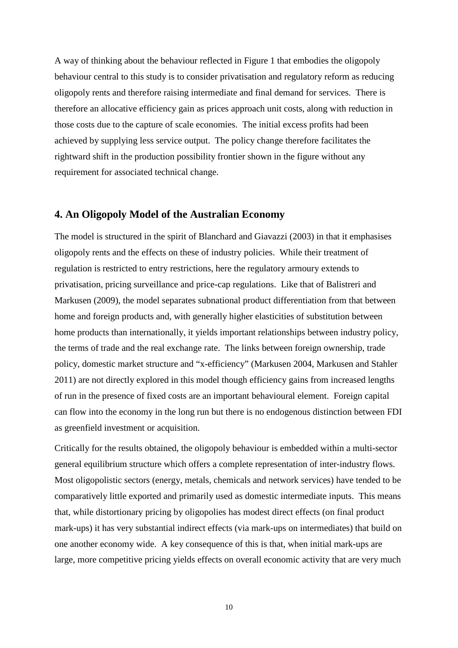A way of thinking about the behaviour reflected in Figure 1 that embodies the oligopoly behaviour central to this study is to consider privatisation and regulatory reform as reducing oligopoly rents and therefore raising intermediate and final demand for services. There is therefore an allocative efficiency gain as prices approach unit costs, along with reduction in those costs due to the capture of scale economies. The initial excess profits had been achieved by supplying less service output. The policy change therefore facilitates the rightward shift in the production possibility frontier shown in the figure without any requirement for associated technical change.

## **4. An Oligopoly Model of the Australian Economy**

The model is structured in the spirit of Blanchard and Giavazzi (2003) in that it emphasises oligopoly rents and the effects on these of industry policies. While their treatment of regulation is restricted to entry restrictions, here the regulatory armoury extends to privatisation, pricing surveillance and price-cap regulations. Like that of Balistreri and Markusen (2009), the model separates subnational product differentiation from that between home and foreign products and, with generally higher elasticities of substitution between home products than internationally, it yields important relationships between industry policy, the terms of trade and the real exchange rate. The links between foreign ownership, trade policy, domestic market structure and "x-efficiency" (Markusen 2004, Markusen and Stahler 2011) are not directly explored in this model though efficiency gains from increased lengths of run in the presence of fixed costs are an important behavioural element. Foreign capital can flow into the economy in the long run but there is no endogenous distinction between FDI as greenfield investment or acquisition.

Critically for the results obtained, the oligopoly behaviour is embedded within a multi-sector general equilibrium structure which offers a complete representation of inter-industry flows. Most oligopolistic sectors (energy, metals, chemicals and network services) have tended to be comparatively little exported and primarily used as domestic intermediate inputs. This means that, while distortionary pricing by oligopolies has modest direct effects (on final product mark-ups) it has very substantial indirect effects (via mark-ups on intermediates) that build on one another economy wide. A key consequence of this is that, when initial mark-ups are large, more competitive pricing yields effects on overall economic activity that are very much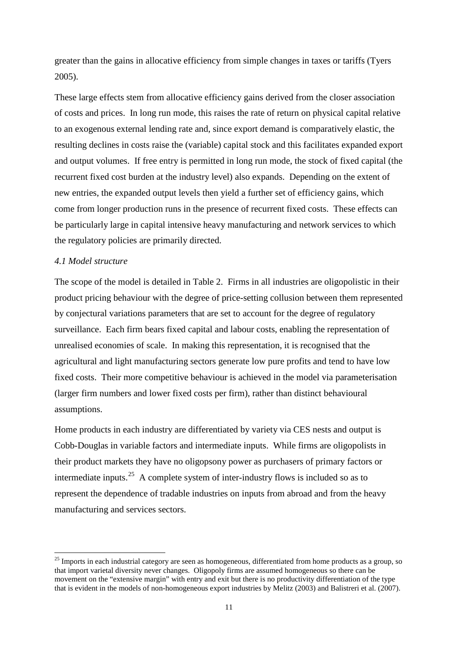greater than the gains in allocative efficiency from simple changes in taxes or tariffs (Tyers 2005).

These large effects stem from allocative efficiency gains derived from the closer association of costs and prices. In long run mode, this raises the rate of return on physical capital relative to an exogenous external lending rate and, since export demand is comparatively elastic, the resulting declines in costs raise the (variable) capital stock and this facilitates expanded export and output volumes. If free entry is permitted in long run mode, the stock of fixed capital (the recurrent fixed cost burden at the industry level) also expands. Depending on the extent of new entries, the expanded output levels then yield a further set of efficiency gains, which come from longer production runs in the presence of recurrent fixed costs. These effects can be particularly large in capital intensive heavy manufacturing and network services to which the regulatory policies are primarily directed.

### *4.1 Model structure*

<u>.</u>

The scope of the model is detailed in Table 2. Firms in all industries are oligopolistic in their product pricing behaviour with the degree of price-setting collusion between them represented by conjectural variations parameters that are set to account for the degree of regulatory surveillance. Each firm bears fixed capital and labour costs, enabling the representation of unrealised economies of scale. In making this representation, it is recognised that the agricultural and light manufacturing sectors generate low pure profits and tend to have low fixed costs. Their more competitive behaviour is achieved in the model via parameterisation (larger firm numbers and lower fixed costs per firm), rather than distinct behavioural assumptions.

Home products in each industry are differentiated by variety via CES nests and output is Cobb-Douglas in variable factors and intermediate inputs. While firms are oligopolists in their product markets they have no oligopsony power as purchasers of primary factors or intermediate inputs.<sup>25</sup> A complete system of inter-industry flows is included so as to represent the dependence of tradable industries on inputs from abroad and from the heavy manufacturing and services sectors.

<span id="page-13-0"></span><sup>&</sup>lt;sup>25</sup> Imports in each industrial category are seen as homogeneous, differentiated from home products as a group, so that import varietal diversity never changes. Oligopoly firms are assumed homogeneous so there can be movement on the "extensive margin" with entry and exit but there is no productivity differentiation of the type that is evident in the models of non-homogeneous export industries by Melitz (2003) and Balistreri et al. (2007).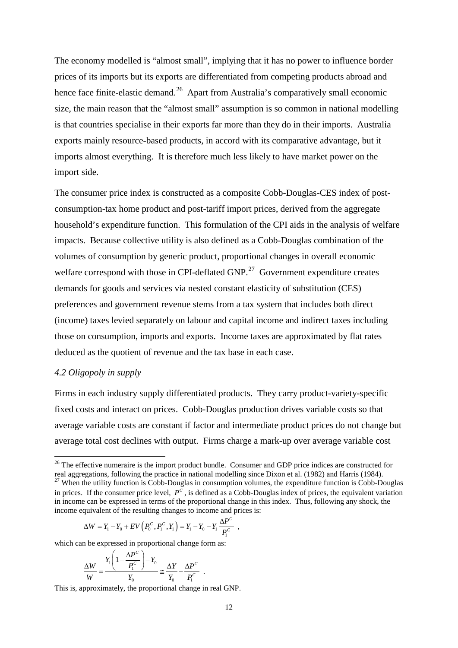The economy modelled is "almost small", implying that it has no power to influence border prices of its imports but its exports are differentiated from competing products abroad and hence face finite-elastic demand.<sup>[26](#page-14-0)</sup> Apart from Australia's comparatively small economic size, the main reason that the "almost small" assumption is so common in national modelling is that countries specialise in their exports far more than they do in their imports. Australia exports mainly resource-based products, in accord with its comparative advantage, but it imports almost everything. It is therefore much less likely to have market power on the import side.

The consumer price index is constructed as a composite Cobb-Douglas-CES index of postconsumption-tax home product and post-tariff import prices, derived from the aggregate household's expenditure function. This formulation of the CPI aids in the analysis of welfare impacts. Because collective utility is also defined as a Cobb-Douglas combination of the volumes of consumption by generic product, proportional changes in overall economic welfare correspond with those in CPI-deflated GNP.<sup>[27](#page-14-1)</sup> Government expenditure creates demands for goods and services via nested constant elasticity of substitution (CES) preferences and government revenue stems from a tax system that includes both direct (income) taxes levied separately on labour and capital income and indirect taxes including those on consumption, imports and exports. Income taxes are approximated by flat rates deduced as the quotient of revenue and the tax base in each case.

### *4.2 Oligopoly in supply*

<u>.</u>

Firms in each industry supply differentiated products. They carry product-variety-specific fixed costs and interact on prices. Cobb-Douglas production drives variable costs so that average variable costs are constant if factor and intermediate product prices do not change but average total cost declines with output. Firms charge a mark-up over average variable cost

$$
\Delta W = Y_1 - Y_0 + EV\left(P_0^C, P_1^C, Y_1\right) = Y_1 - Y_0 - Y_1 \frac{\Delta P^C}{P_1^C},
$$

which can be expressed in proportional change form as:

$$
\frac{\Delta W}{W} = \frac{Y_1 \left(1 - \frac{\Delta P^C}{P_1^C}\right) - Y_0}{Y_0} \approx \frac{\Delta Y}{Y_0} - \frac{\Delta P^C}{P_1^C}.
$$

This is, approximately, the proportional change in real GNP.

<span id="page-14-1"></span><span id="page-14-0"></span><sup>&</sup>lt;sup>26</sup> The effective numeraire is the import product bundle. Consumer and GDP price indices are constructed for real aggregations, following the practice in national modelling since Dixon et al. (1982) and Harris (1984). <sup>27</sup> When the utility function is Cobb-Douglas in consumption volumes, the expenditure function is Cobb-Douglas in prices. If the consumer price level,  $P^C$ , is defined as a Cobb-Douglas index of prices, the equivalent variation in income can be expressed in terms of the proportional change in this index. Thus, following any shock, the income equivalent of the resulting changes to income and prices is: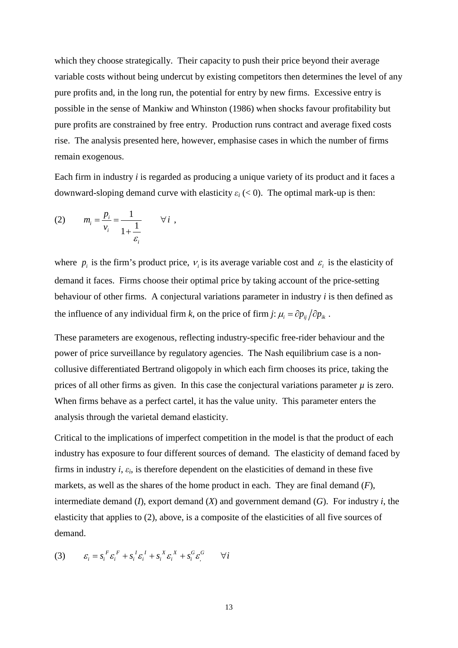which they choose strategically. Their capacity to push their price beyond their average variable costs without being undercut by existing competitors then determines the level of any pure profits and, in the long run, the potential for entry by new firms. Excessive entry is possible in the sense of Mankiw and Whinston (1986) when shocks favour profitability but pure profits are constrained by free entry. Production runs contract and average fixed costs rise. The analysis presented here, however, emphasise cases in which the number of firms remain exogenous.

Each firm in industry *i* is regarded as producing a unique variety of its product and it faces a downward-sloping demand curve with elasticity  $\varepsilon_i$  ( $\lt$  0). The optimal mark-up is then:

$$
(2) \t m_i = \frac{p_i}{v_i} = \frac{1}{1 + \frac{1}{\varepsilon_i}} \t \forall i,
$$

where  $p_i$  is the firm's product price,  $v_i$  is its average variable cost and  $\varepsilon_i$  is the elasticity of demand it faces. Firms choose their optimal price by taking account of the price-setting behaviour of other firms. A conjectural variations parameter in industry *i* is then defined as the influence of any individual firm *k*, on the price of firm *j*:  $\mu_i = \partial p_{ij} / \partial p_{ik}$ .

These parameters are exogenous, reflecting industry-specific free-rider behaviour and the power of price surveillance by regulatory agencies. The Nash equilibrium case is a noncollusive differentiated Bertrand oligopoly in which each firm chooses its price, taking the prices of all other firms as given. In this case the conjectural variations parameter  $\mu$  is zero. When firms behave as a perfect cartel, it has the value unity. This parameter enters the analysis through the varietal demand elasticity.

Critical to the implications of imperfect competition in the model is that the product of each industry has exposure to four different sources of demand. The elasticity of demand faced by firms in industry  $i$ ,  $\varepsilon$ <sub>*i*</sub>, is therefore dependent on the elasticities of demand in these five markets, as well as the shares of the home product in each. They are final demand (*F*), intermediate demand (*I*), export demand (*X*) and government demand (*G*). For industry *i*, the elasticity that applies to (2), above, is a composite of the elasticities of all five sources of demand.

$$
(3) \qquad \varepsilon_i = s_i^F \varepsilon_i^F + s_i^I \varepsilon_i^I + s_i^X \varepsilon_i^X + s_i^G \varepsilon_i^G \qquad \forall i
$$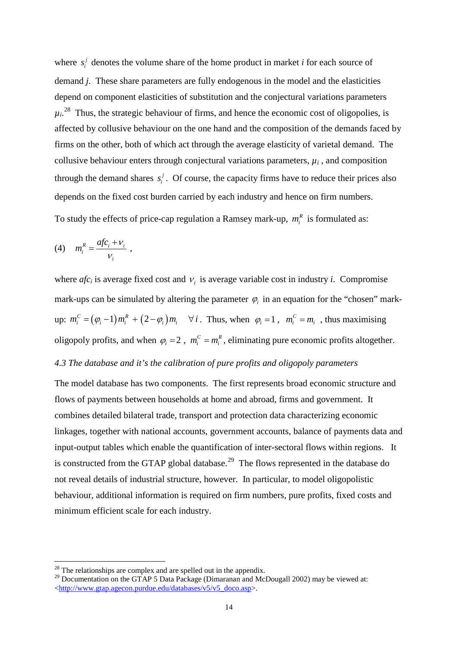where  $s_i^j$  denotes the volume share of the home product in market *i* for each source of demand *j*. These share parameters are fully endogenous in the model and the elasticities depend on component elasticities of substitution and the conjectural variations parameters  $\mu_i$ <sup>28</sup> Thus, the strategic behaviour of firms, and hence the economic cost of oligopolies, is affected by collusive behaviour on the one hand and the composition of the demands faced by firms on the other, both of which act through the average elasticity of varietal demand. The collusive behaviour enters through conjectural variations parameters,  $\mu_i$ , and composition through the demand shares  $s_i^j$ . Of course, the capacity firms have to reduce their prices also depends on the fixed cost burden carried by each industry and hence on firm numbers. To study the effects of price-cap regulation a Ramsey mark-up,  $m_i^R$  is formulated as:

$$
(4) \t m_i^R = \frac{afc_i + v_i}{v_i} ,
$$

-

where  $afc_i$  is average fixed cost and  $v_i$  is average variable cost in industry *i*. Compromise mark-ups can be simulated by altering the parameter  $\varphi_i$  in an equation for the "chosen" markup:  $m_i^C = (\varphi_i - 1) m_i^R + (2 - \varphi_i) m_i \quad \forall i$ . Thus, when  $\varphi_i = 1$ ,  $m_i^C = m_i$ , thus maximising oligopoly profits, and when  $\varphi_i = 2$ ,  $m_i^C = m_i^R$ , eliminating pure economic profits altogether.

## *4.3 The database and it's the calibration of pure profits and oligopoly parameters*

The model database has two components. The first represents broad economic structure and flows of payments between households at home and abroad, firms and government. It combines detailed bilateral trade, transport and protection data characterizing economic linkages, together with national accounts, government accounts, balance of payments data and input-output tables which enable the quantification of inter-sectoral flows within regions. It is constructed from the GTAP global database.<sup>[29](#page-16-1)</sup> The flows represented in the database do not reveal details of industrial structure, however. In particular, to model oligopolistic behaviour, additional information is required on firm numbers, pure profits, fixed costs and minimum efficient scale for each industry.

 $28$  The relationships are complex and are spelled out in the appendix.

<span id="page-16-1"></span><span id="page-16-0"></span><sup>&</sup>lt;sup>29</sup> Documentation on the GTAP 5 Data Package (Dimaranan and McDougall 2002) may be viewed at: [<http://www.gtap.agecon.purdue.edu/databases/v5/v5\\_doco.asp>](http://www.gtap.agecon.purdue.edu/databases/v5/v5_doco.asp).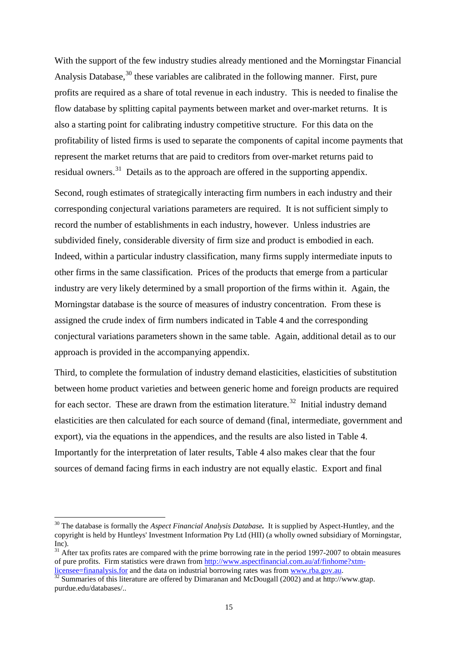With the support of the few industry studies already mentioned and the Morningstar Financial Analysis Database,  $30$  these variables are calibrated in the following manner. First, pure profits are required as a share of total revenue in each industry. This is needed to finalise the flow database by splitting capital payments between market and over-market returns. It is also a starting point for calibrating industry competitive structure. For this data on the profitability of listed firms is used to separate the components of capital income payments that represent the market returns that are paid to creditors from over-market returns paid to residual owners.<sup>[31](#page-17-1)</sup> Details as to the approach are offered in the supporting appendix.

Second, rough estimates of strategically interacting firm numbers in each industry and their corresponding conjectural variations parameters are required. It is not sufficient simply to record the number of establishments in each industry, however. Unless industries are subdivided finely, considerable diversity of firm size and product is embodied in each. Indeed, within a particular industry classification, many firms supply intermediate inputs to other firms in the same classification. Prices of the products that emerge from a particular industry are very likely determined by a small proportion of the firms within it. Again, the Morningstar database is the source of measures of industry concentration. From these is assigned the crude index of firm numbers indicated in Table 4 and the corresponding conjectural variations parameters shown in the same table. Again, additional detail as to our approach is provided in the accompanying appendix.

Third, to complete the formulation of industry demand elasticities, elasticities of substitution between home product varieties and between generic home and foreign products are required for each sector. These are drawn from the estimation literature.<sup>32</sup> Initial industry demand elasticities are then calculated for each source of demand (final, intermediate, government and export), via the equations in the appendices, and the results are also listed in Table 4. Importantly for the interpretation of later results, Table 4 also makes clear that the four sources of demand facing firms in each industry are not equally elastic. Export and final

<u>.</u>

<span id="page-17-0"></span><sup>30</sup> The database is formally the *Aspect Financial Analysis Database.* It is supplied by Aspect-Huntley, and the copyright is held by Huntleys' Investment Information Pty Ltd (HII) (a wholly owned subsidiary of Morningstar, Inc).

<span id="page-17-1"></span> $31$  After tax profits rates are compared with the prime borrowing rate in the period 1997-2007 to obtain measures of pure profits. Firm statistics were drawn from http://www.aspectfinancial.com.au/af/finhome?xtm-<br>licensee=finanalysis.for and the data on industrial borrowing rates was from www.rba.gov.au.

<span id="page-17-2"></span>similarities of this literature are offered by Dimaranan and McDougall (2002) and at http://www.gtap. purdue.edu/databases/..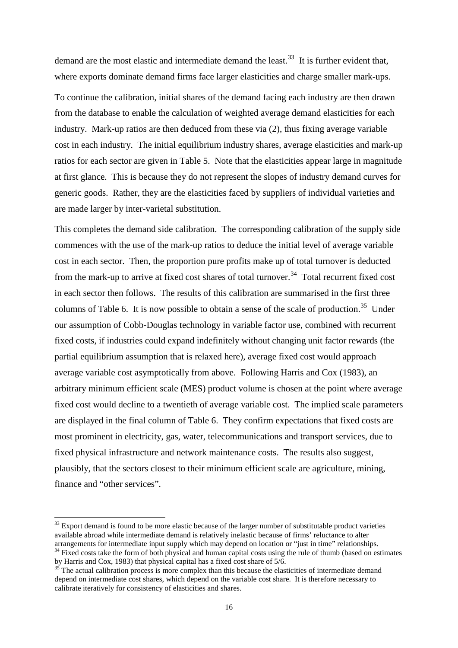demand are the most elastic and intermediate demand the least.<sup>33</sup> It is further evident that, where exports dominate demand firms face larger elasticities and charge smaller mark-ups.

To continue the calibration, initial shares of the demand facing each industry are then drawn from the database to enable the calculation of weighted average demand elasticities for each industry. Mark-up ratios are then deduced from these via (2), thus fixing average variable cost in each industry. The initial equilibrium industry shares, average elasticities and mark-up ratios for each sector are given in Table 5. Note that the elasticities appear large in magnitude at first glance. This is because they do not represent the slopes of industry demand curves for generic goods. Rather, they are the elasticities faced by suppliers of individual varieties and are made larger by inter-varietal substitution.

This completes the demand side calibration. The corresponding calibration of the supply side commences with the use of the mark-up ratios to deduce the initial level of average variable cost in each sector. Then, the proportion pure profits make up of total turnover is deducted from the mark-up to arrive at fixed cost shares of total turnover.<sup>[34](#page-18-1)</sup> Total recurrent fixed cost in each sector then follows. The results of this calibration are summarised in the first three columns of Table 6. It is now possible to obtain a sense of the scale of production.<sup>[35](#page-18-2)</sup> Under our assumption of Cobb-Douglas technology in variable factor use, combined with recurrent fixed costs, if industries could expand indefinitely without changing unit factor rewards (the partial equilibrium assumption that is relaxed here), average fixed cost would approach average variable cost asymptotically from above. Following Harris and Cox (1983), an arbitrary minimum efficient scale (MES) product volume is chosen at the point where average fixed cost would decline to a twentieth of average variable cost. The implied scale parameters are displayed in the final column of Table 6. They confirm expectations that fixed costs are most prominent in electricity, gas, water, telecommunications and transport services, due to fixed physical infrastructure and network maintenance costs. The results also suggest, plausibly, that the sectors closest to their minimum efficient scale are agriculture, mining, finance and "other services".

<u>.</u>

<span id="page-18-0"></span><sup>&</sup>lt;sup>33</sup> Export demand is found to be more elastic because of the larger number of substitutable product varieties available abroad while intermediate demand is relatively inelastic because of firms' reluctance to alter  $\frac{34}{34}$  Fixed costs take the form of both physical and human capital costs using the rule of thumb (based on estimates

<span id="page-18-1"></span>by Harris and Cox, 1983) that physical capital has a fixed cost share of 5/6.

<span id="page-18-2"></span> $35$  The actual calibration process is more complex than this because the elasticities of intermediate demand depend on intermediate cost shares, which depend on the variable cost share. It is therefore necessary to calibrate iteratively for consistency of elasticities and shares.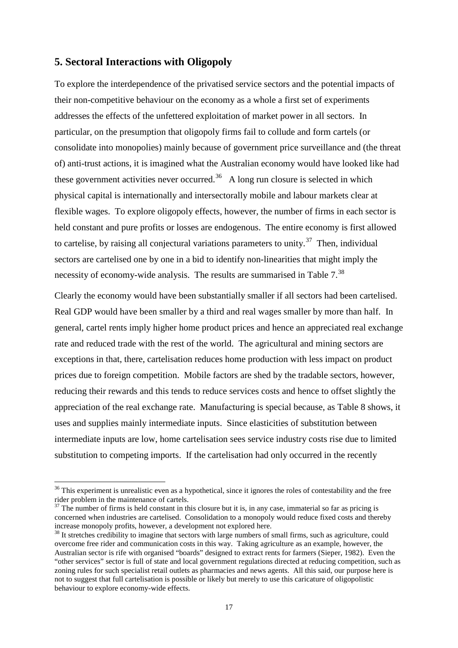### **5. Sectoral Interactions with Oligopoly**

To explore the interdependence of the privatised service sectors and the potential impacts of their non-competitive behaviour on the economy as a whole a first set of experiments addresses the effects of the unfettered exploitation of market power in all sectors. In particular, on the presumption that oligopoly firms fail to collude and form cartels (or consolidate into monopolies) mainly because of government price surveillance and (the threat of) anti-trust actions, it is imagined what the Australian economy would have looked like had these government activities never occurred.<sup>[36](#page-19-0)</sup> A long run closure is selected in which physical capital is internationally and intersectorally mobile and labour markets clear at flexible wages. To explore oligopoly effects, however, the number of firms in each sector is held constant and pure profits or losses are endogenous. The entire economy is first allowed to cartelise, by raising all conjectural variations parameters to unity.<sup>37</sup> Then, individual sectors are cartelised one by one in a bid to identify non-linearities that might imply the necessity of economy-wide analysis. The results are summarised in Table 7.<sup>[38](#page-19-2)</sup>

Clearly the economy would have been substantially smaller if all sectors had been cartelised. Real GDP would have been smaller by a third and real wages smaller by more than half. In general, cartel rents imply higher home product prices and hence an appreciated real exchange rate and reduced trade with the rest of the world. The agricultural and mining sectors are exceptions in that, there, cartelisation reduces home production with less impact on product prices due to foreign competition. Mobile factors are shed by the tradable sectors, however, reducing their rewards and this tends to reduce services costs and hence to offset slightly the appreciation of the real exchange rate. Manufacturing is special because, as Table 8 shows, it uses and supplies mainly intermediate inputs. Since elasticities of substitution between intermediate inputs are low, home cartelisation sees service industry costs rise due to limited substitution to competing imports. If the cartelisation had only occurred in the recently

-

<span id="page-19-0"></span> $36$  This experiment is unrealistic even as a hypothetical, since it ignores the roles of contestability and the free rider problem in the maintenance of cartels.

<span id="page-19-1"></span> $37$  The number of firms is held constant in this closure but it is, in any case, immaterial so far as pricing is concerned when industries are cartelised. Consolidation to a monopoly would reduce fixed costs and thereby increase monopoly profits, however, a development not explored here.

<span id="page-19-2"></span><sup>&</sup>lt;sup>38</sup> It stretches credibility to imagine that sectors with large numbers of small firms, such as agriculture, could overcome free rider and communication costs in this way. Taking agriculture as an example, however, the Australian sector is rife with organised "boards" designed to extract rents for farmers (Sieper, 1982). Even the "other services" sector is full of state and local government regulations directed at reducing competition, such as zoning rules for such specialist retail outlets as pharmacies and news agents. All this said, our purpose here is not to suggest that full cartelisation is possible or likely but merely to use this caricature of oligopolistic behaviour to explore economy-wide effects.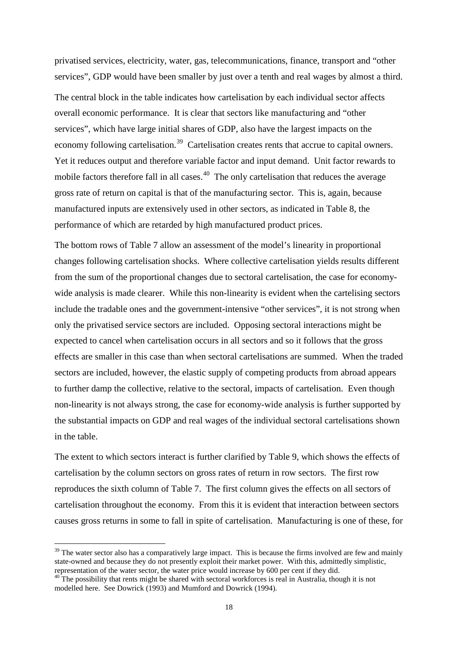privatised services, electricity, water, gas, telecommunications, finance, transport and "other services", GDP would have been smaller by just over a tenth and real wages by almost a third.

The central block in the table indicates how cartelisation by each individual sector affects overall economic performance. It is clear that sectors like manufacturing and "other services", which have large initial shares of GDP, also have the largest impacts on the economy following cartelisation.<sup>39</sup> Cartelisation creates rents that accrue to capital owners. Yet it reduces output and therefore variable factor and input demand. Unit factor rewards to mobile factors therefore fall in all cases.<sup>40</sup> The only cartelisation that reduces the average gross rate of return on capital is that of the manufacturing sector. This is, again, because manufactured inputs are extensively used in other sectors, as indicated in Table 8, the performance of which are retarded by high manufactured product prices.

The bottom rows of Table 7 allow an assessment of the model's linearity in proportional changes following cartelisation shocks. Where collective cartelisation yields results different from the sum of the proportional changes due to sectoral cartelisation, the case for economywide analysis is made clearer. While this non-linearity is evident when the cartelising sectors include the tradable ones and the government-intensive "other services", it is not strong when only the privatised service sectors are included. Opposing sectoral interactions might be expected to cancel when cartelisation occurs in all sectors and so it follows that the gross effects are smaller in this case than when sectoral cartelisations are summed. When the traded sectors are included, however, the elastic supply of competing products from abroad appears to further damp the collective, relative to the sectoral, impacts of cartelisation. Even though non-linearity is not always strong, the case for economy-wide analysis is further supported by the substantial impacts on GDP and real wages of the individual sectoral cartelisations shown in the table.

The extent to which sectors interact is further clarified by Table 9, which shows the effects of cartelisation by the column sectors on gross rates of return in row sectors. The first row reproduces the sixth column of Table 7. The first column gives the effects on all sectors of cartelisation throughout the economy. From this it is evident that interaction between sectors causes gross returns in some to fall in spite of cartelisation. Manufacturing is one of these, for

-

<span id="page-20-0"></span> $39$  The water sector also has a comparatively large impact. This is because the firms involved are few and mainly state-owned and because they do not presently exploit their market power. With this, admittedly simplistic, representation of the water sector, the water price would increase by 600 per cent if they did.

<span id="page-20-1"></span><sup>&</sup>lt;sup>40</sup> The possibility that rents might be shared with sectoral workforces is real in Australia, though it is not modelled here. See Dowrick (1993) and Mumford and Dowrick (1994).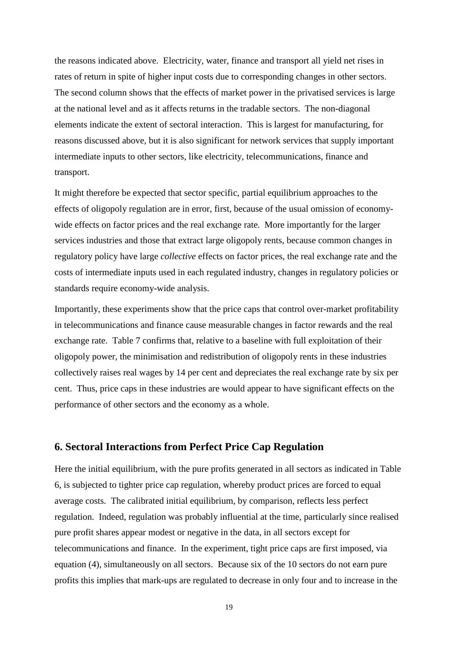the reasons indicated above. Electricity, water, finance and transport all yield net rises in rates of return in spite of higher input costs due to corresponding changes in other sectors. The second column shows that the effects of market power in the privatised services is large at the national level and as it affects returns in the tradable sectors. The non-diagonal elements indicate the extent of sectoral interaction. This is largest for manufacturing, for reasons discussed above, but it is also significant for network services that supply important intermediate inputs to other sectors, like electricity, telecommunications, finance and transport.

It might therefore be expected that sector specific, partial equilibrium approaches to the effects of oligopoly regulation are in error, first, because of the usual omission of economywide effects on factor prices and the real exchange rate. More importantly for the larger services industries and those that extract large oligopoly rents, because common changes in regulatory policy have large *collective* effects on factor prices, the real exchange rate and the costs of intermediate inputs used in each regulated industry, changes in regulatory policies or standards require economy-wide analysis.

Importantly, these experiments show that the price caps that control over-market profitability in telecommunications and finance cause measurable changes in factor rewards and the real exchange rate. Table 7 confirms that, relative to a baseline with full exploitation of their oligopoly power, the minimisation and redistribution of oligopoly rents in these industries collectively raises real wages by 14 per cent and depreciates the real exchange rate by six per cent. Thus, price caps in these industries are would appear to have significant effects on the performance of other sectors and the economy as a whole.

### **6. Sectoral Interactions from Perfect Price Cap Regulation**

Here the initial equilibrium, with the pure profits generated in all sectors as indicated in Table 6, is subjected to tighter price cap regulation, whereby product prices are forced to equal average costs. The calibrated initial equilibrium, by comparison, reflects less perfect regulation. Indeed, regulation was probably influential at the time, particularly since realised pure profit shares appear modest or negative in the data, in all sectors except for telecommunications and finance. In the experiment, tight price caps are first imposed, via equation (4), simultaneously on all sectors. Because six of the 10 sectors do not earn pure profits this implies that mark-ups are regulated to decrease in only four and to increase in the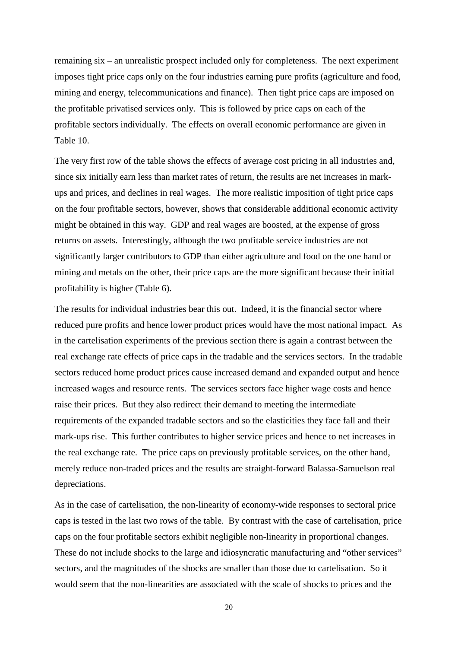remaining six – an unrealistic prospect included only for completeness. The next experiment imposes tight price caps only on the four industries earning pure profits (agriculture and food, mining and energy, telecommunications and finance). Then tight price caps are imposed on the profitable privatised services only. This is followed by price caps on each of the profitable sectors individually. The effects on overall economic performance are given in Table 10.

The very first row of the table shows the effects of average cost pricing in all industries and, since six initially earn less than market rates of return, the results are net increases in markups and prices, and declines in real wages. The more realistic imposition of tight price caps on the four profitable sectors, however, shows that considerable additional economic activity might be obtained in this way. GDP and real wages are boosted, at the expense of gross returns on assets. Interestingly, although the two profitable service industries are not significantly larger contributors to GDP than either agriculture and food on the one hand or mining and metals on the other, their price caps are the more significant because their initial profitability is higher (Table 6).

The results for individual industries bear this out. Indeed, it is the financial sector where reduced pure profits and hence lower product prices would have the most national impact. As in the cartelisation experiments of the previous section there is again a contrast between the real exchange rate effects of price caps in the tradable and the services sectors. In the tradable sectors reduced home product prices cause increased demand and expanded output and hence increased wages and resource rents. The services sectors face higher wage costs and hence raise their prices. But they also redirect their demand to meeting the intermediate requirements of the expanded tradable sectors and so the elasticities they face fall and their mark-ups rise. This further contributes to higher service prices and hence to net increases in the real exchange rate. The price caps on previously profitable services, on the other hand, merely reduce non-traded prices and the results are straight-forward Balassa-Samuelson real depreciations.

As in the case of cartelisation, the non-linearity of economy-wide responses to sectoral price caps is tested in the last two rows of the table. By contrast with the case of cartelisation, price caps on the four profitable sectors exhibit negligible non-linearity in proportional changes. These do not include shocks to the large and idiosyncratic manufacturing and "other services" sectors, and the magnitudes of the shocks are smaller than those due to cartelisation. So it would seem that the non-linearities are associated with the scale of shocks to prices and the

20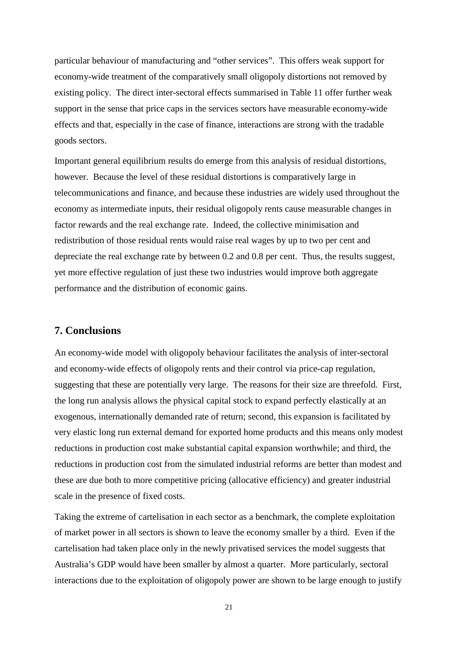particular behaviour of manufacturing and "other services". This offers weak support for economy-wide treatment of the comparatively small oligopoly distortions not removed by existing policy. The direct inter-sectoral effects summarised in Table 11 offer further weak support in the sense that price caps in the services sectors have measurable economy-wide effects and that, especially in the case of finance, interactions are strong with the tradable goods sectors.

Important general equilibrium results do emerge from this analysis of residual distortions, however. Because the level of these residual distortions is comparatively large in telecommunications and finance, and because these industries are widely used throughout the economy as intermediate inputs, their residual oligopoly rents cause measurable changes in factor rewards and the real exchange rate. Indeed, the collective minimisation and redistribution of those residual rents would raise real wages by up to two per cent and depreciate the real exchange rate by between 0.2 and 0.8 per cent. Thus, the results suggest, yet more effective regulation of just these two industries would improve both aggregate performance and the distribution of economic gains.

### **7. Conclusions**

An economy-wide model with oligopoly behaviour facilitates the analysis of inter-sectoral and economy-wide effects of oligopoly rents and their control via price-cap regulation, suggesting that these are potentially very large. The reasons for their size are threefold. First, the long run analysis allows the physical capital stock to expand perfectly elastically at an exogenous, internationally demanded rate of return; second, this expansion is facilitated by very elastic long run external demand for exported home products and this means only modest reductions in production cost make substantial capital expansion worthwhile; and third, the reductions in production cost from the simulated industrial reforms are better than modest and these are due both to more competitive pricing (allocative efficiency) and greater industrial scale in the presence of fixed costs.

Taking the extreme of cartelisation in each sector as a benchmark, the complete exploitation of market power in all sectors is shown to leave the economy smaller by a third. Even if the cartelisation had taken place only in the newly privatised services the model suggests that Australia's GDP would have been smaller by almost a quarter. More particularly, sectoral interactions due to the exploitation of oligopoly power are shown to be large enough to justify

21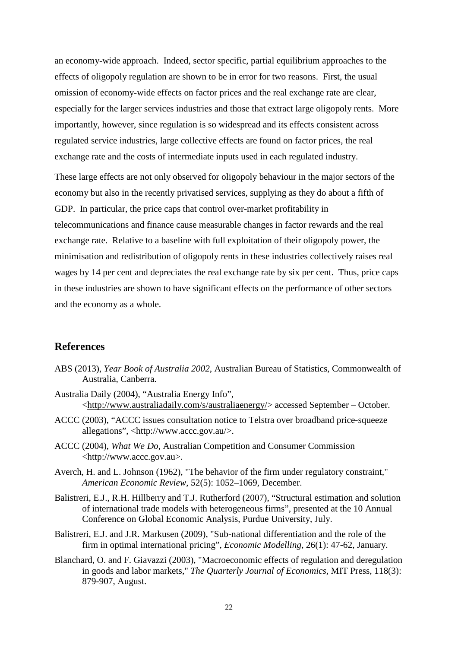an economy-wide approach. Indeed, sector specific, partial equilibrium approaches to the effects of oligopoly regulation are shown to be in error for two reasons. First, the usual omission of economy-wide effects on factor prices and the real exchange rate are clear, especially for the larger services industries and those that extract large oligopoly rents. More importantly, however, since regulation is so widespread and its effects consistent across regulated service industries, large collective effects are found on factor prices, the real exchange rate and the costs of intermediate inputs used in each regulated industry.

These large effects are not only observed for oligopoly behaviour in the major sectors of the economy but also in the recently privatised services, supplying as they do about a fifth of GDP. In particular, the price caps that control over-market profitability in telecommunications and finance cause measurable changes in factor rewards and the real exchange rate. Relative to a baseline with full exploitation of their oligopoly power, the minimisation and redistribution of oligopoly rents in these industries collectively raises real wages by 14 per cent and depreciates the real exchange rate by six per cent. Thus, price caps in these industries are shown to have significant effects on the performance of other sectors and the economy as a whole.

### **References**

- ABS (2013), *Year Book of Australia 2002*, Australian Bureau of Statistics, Commonwealth of Australia, Canberra.
- Australia Daily (2004), "Australia Energy Info", [<http://www.australiadaily.com/s/australiaenergy/>](http://www.australiadaily.com/s/australiaenergy/) accessed September – October.
- ACCC (2003), "ACCC issues consultation notice to Telstra over broadband price-squeeze allegations", <http://www.accc.gov.au/>.
- ACCC (2004), *What We Do*, Australian Competition and Consumer Commission <http://www.accc.gov.au>.
- Averch, H. and L. Johnson (1962), "The behavior of the firm under regulatory constraint," *American Economic Review*, 52(5): 1052–1069, December.
- Balistreri, E.J., R.H. Hillberry and T.J. Rutherford (2007), "Structural estimation and solution of international trade models with heterogeneous firms", presented at the 10 Annual Conference on Global Economic Analysis, Purdue University, July.
- Balistreri, E.J. and J.R. Markusen (2009), ["Sub-national differentiation and the role of the](http://ideas.repec.org/a/eee/ecmode/v26y2009i1p47-62.html)  [firm in optimal international pricing"](http://ideas.repec.org/a/eee/ecmode/v26y2009i1p47-62.html), *[Economic Modelling](http://ideas.repec.org/s/eee/ecmode.html)*, 26(1): 47-62, January.
- Blanchard, O. and F. Giavazzi (2003), ["Macroeconomic effects of regulation and deregulation](http://ideas.repec.org/a/tpr/qjecon/v118y2003i3p879-907.html)  [in goods and labor markets,](http://ideas.repec.org/a/tpr/qjecon/v118y2003i3p879-907.html)" *[The Quarterly Journal of Economics](http://ideas.repec.org/s/tpr/qjecon.html)*, MIT Press, 118(3): 879-907, August.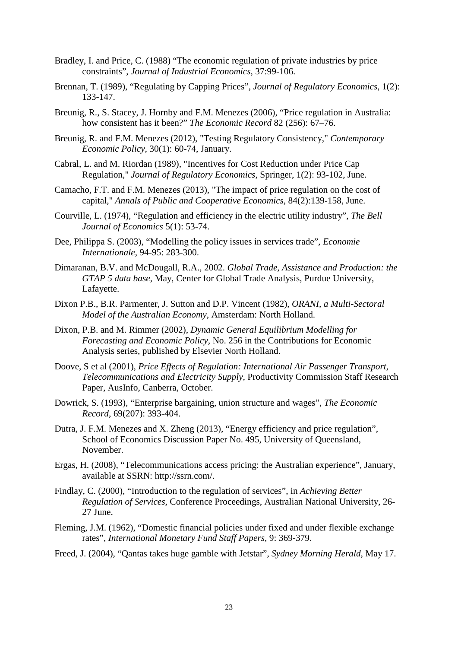- Bradley, I. and Price, C. (1988) "The economic regulation of private industries by price constraints", *Journal of Industrial Economics*, 37:99-106.
- Brennan, T. (1989), "Regulating by Capping Prices", *Journal of Regulatory Economics*, 1(2): 133-147.
- Breunig, R., S. Stacey, J. Hornby and F.M. Menezes (2006), "Price regulation in Australia: how consistent has it been?" *The Economic Record* 82 (256): 67–76.
- Breunig, R. and F.M. Menezes (2012), ["Testing Regulatory Consistency,](http://ideas.repec.org/a/bla/coecpo/v30y2012i1p60-74.html)" *[Contemporary](http://ideas.repec.org/s/bla/coecpo.html)  [Economic Policy](http://ideas.repec.org/s/bla/coecpo.html)*, 30(1): 60-74, January.
- Cabral, L. and M. Riordan (1989), ["Incentives for Cost Reduction under Price Cap](http://ideas.repec.org/a/kap/regeco/v1y1989i2p93-102.html)  [Regulation,](http://ideas.repec.org/a/kap/regeco/v1y1989i2p93-102.html)" *[Journal of Regulatory Economics](http://ideas.repec.org/s/kap/regeco.html)*, Springer, 1(2): 93-102, June.
- Camacho, F.T. and F.M. Menezes (2013), ["The impact of price regulation on the cost of](http://ideas.repec.org/a/bla/annpce/v84y2013i2p139-158.html)  [capital,](http://ideas.repec.org/a/bla/annpce/v84y2013i2p139-158.html)" *[Annals of Public and Cooperative Economics](http://ideas.repec.org/s/bla/annpce.html)*, 84(2):139-158, June.
- Courville, L. (1974), "Regulation and efficiency in the electric utility industry", *The Bell Journal of Economics* 5(1): 53-74.
- Dee, Philippa S. (2003), "Modelling the policy issues in services trade", *Economie Internationale*, 94-95: 283-300.
- Dimaranan, B.V. and McDougall, R.A., 2002. *Global Trade, Assistance and Production: the GTAP 5 data base*, May, Center for Global Trade Analysis, Purdue University, Lafayette.
- Dixon P.B., B.R. Parmenter, J. Sutton and D.P. Vincent (1982), *ORANI, a Multi-Sectoral Model of the Australian Economy*, Amsterdam: North Holland.
- Dixon, P.B. and M. Rimmer (2002), *Dynamic General Equilibrium Modelling for Forecasting and Economic Policy*, No. 256 in the Contributions for Economic Analysis series, published by Elsevier North Holland.
- Doove, S et al (2001), *Price Effects of Regulation: International Air Passenger Transport, Telecommunications and Electricity Supply*, Productivity Commission Staff Research Paper, AusInfo, Canberra, October.
- Dowrick, S. (1993), "Enterprise bargaining, union structure and wages", *The Economic Record*, 69(207): 393-404.
- Dutra, J. F.M. Menezes and X. Zheng (2013), "Energy efficiency and price regulation", School of Economics Discussion Paper No. 495, University of Queensland, November.
- Ergas, H. (2008), "Telecommunications access pricing: the Australian experience", January, available at SSRN: http://ssrn.com/.
- Findlay, C. (2000), "Introduction to the regulation of services", in *Achieving Better Regulation of Services*, Conference Proceedings, Australian National University, 26- 27 June.
- Fleming, J.M. (1962), "Domestic financial policies under fixed and under flexible exchange rates", *International Monetary Fund Staff Papers*, 9: 369-379.
- Freed, J. (2004), "Qantas takes huge gamble with Jetstar", *Sydney Morning Herald*, May 17.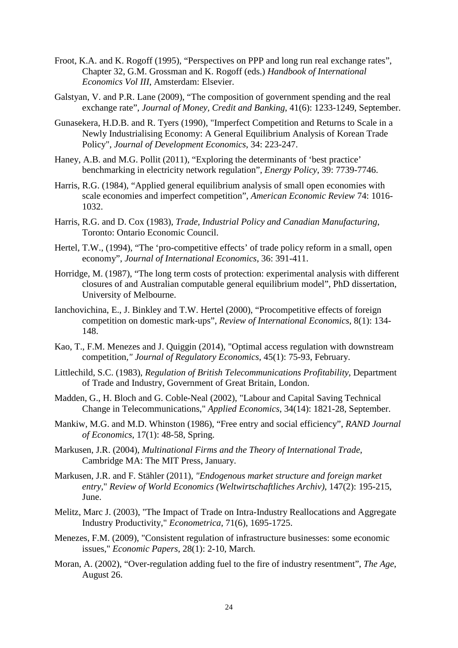- Froot, K.A. and K. Rogoff (1995), "Perspectives on PPP and long run real exchange rates", Chapter 32, G.M. Grossman and K. Rogoff (eds.) *Handbook of International Economics Vol III*, Amsterdam: Elsevier.
- Galstyan, V. and P.R. Lane (2009), "The composition of government spending and the real exchange rate", *Journal of Money, Credit and Banking*, 41(6): 1233-1249, September.
- Gunasekera, H.D.B. and R. Tyers (1990), "Imperfect Competition and Returns to Scale in a Newly Industrialising Economy: A General Equilibrium Analysis of Korean Trade Policy", *Journal of Development Economics*, 34: 223-247.
- Haney, A.B. and M.G. Pollit (2011), "Exploring the determinants of 'best practice' benchmarking in electricity network regulation", *Energy Policy*, 39: 7739-7746.
- Harris, R.G. (1984), "Applied general equilibrium analysis of small open economies with scale economies and imperfect competition", *American Economic Review* 74: 1016- 1032.
- Harris, R.G. and D. Cox (1983), *Trade, Industrial Policy and Canadian Manufacturing*, Toronto: Ontario Economic Council.
- Hertel, T.W., (1994), "The 'pro-competitive effects' of trade policy reform in a small, open economy", *Journal of International Economics*, 36: 391-411.
- Horridge, M. (1987), "The long term costs of protection: experimental analysis with different closures of and Australian computable general equilibrium model", PhD dissertation, University of Melbourne.
- Ianchovichina, E., J. Binkley and T.W. Hertel (2000), "Procompetitive effects of foreign competition on domestic mark-ups", *Review of International Economics*, 8(1): 134- 148.
- Kao, T., F.M. Menezes and J. Quiggin (2014), ["Optimal access regulation with downstream](http://ideas.repec.org/a/kap/regeco/v45y2014i1p75-93.html)  [competition](http://ideas.repec.org/a/kap/regeco/v45y2014i1p75-93.html)*," [Journal of Regulatory Economics](http://ideas.repec.org/s/kap/regeco.html)*, 45(1): 75-93, February.
- Littlechild, S.C. (1983), *Regulation of British Telecommunications Profitability*, Department of Trade and Industry, Government of Great Britain, London.
- Madden, G., H. Bloch and G. Coble-Neal (2002), ["Labour and Capital Saving Technical](http://ideas.repec.org/a/taf/applec/v34y2002i14p1821-28.html)  [Change in Telecommunications,](http://ideas.repec.org/a/taf/applec/v34y2002i14p1821-28.html)" *[Applied Economics](http://ideas.repec.org/s/taf/applec.html)*, 34(14): 1821-28, September.
- Mankiw, M.G. and M.D. Whinston (1986), "Free entry and social efficiency", *RAND Journal of Economics*, 17(1): 48-58, Spring.
- Markusen, J.R. (2004), *[Multinational Firms and the Theory of International Trade](http://ideas.repec.org/b/mtp/titles/0262633078.html)*, Cambridge MA: The MIT Press, January.
- Markusen, J.R. and F. Stähler (2011), *["Endogenous market structure and foreign market](http://ideas.repec.org/a/spr/weltar/v147y2011i2p195-215.html)  [entry](http://ideas.repec.org/a/spr/weltar/v147y2011i2p195-215.html)*," *[Review of World Economics \(Weltwirtschaftliches Archiv\)](http://ideas.repec.org/s/spr/weltar.html)*, 147(2): 195-215, June.
- Melitz, Marc J. (2003), "The Impact of Trade on Intra-Industry Reallocations and Aggregate Industry Productivity," *Econometrica*, 71(6), 1695-1725.
- Menezes, F.M. (2009), ["Consistent regulation of infrastructure businesses: some economic](http://ideas.repec.org/a/bla/econpa/v28y2009i1p2-10.html)  [issues,](http://ideas.repec.org/a/bla/econpa/v28y2009i1p2-10.html)" *[Economic Papers](http://ideas.repec.org/s/bla/econpa.html)*, 28(1): 2-10, March.
- Moran, A. (2002), "Over-regulation adding fuel to the fire of industry resentment", *The Age*, August 26.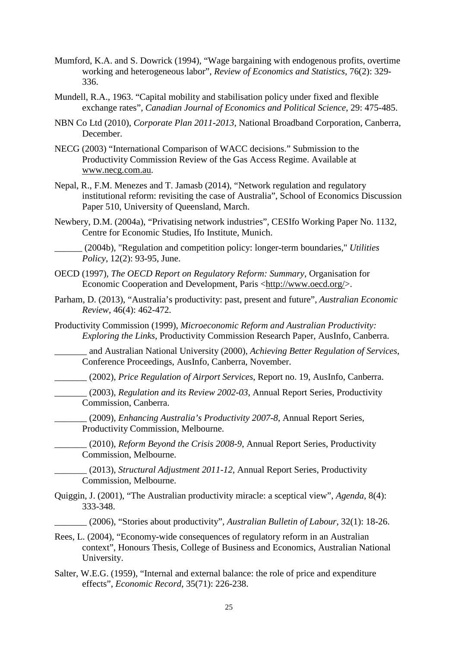- Mumford, K.A. and S. Dowrick (1994), "Wage bargaining with endogenous profits, overtime working and heterogeneous labor", *Review of Economics and Statistics*, 76(2): 329- 336.
- Mundell, R.A., 1963. "Capital mobility and stabilisation policy under fixed and flexible exchange rates", *Canadian Journal of Economics and Political Science*, 29: 475-485.
- NBN Co Ltd (2010), *Corporate Plan 2011-2013*, National Broadband Corporation, Canberra, December.
- NECG (2003) "International Comparison of WACC decisions." Submission to the Productivity Commission Review of the Gas Access Regime. Available at [www.necg.com.au.](http://www.necg.com.au/)
- Nepal, R., F.M. Menezes and T. Jamasb (2014), "Network regulation and regulatory institutional reform: revisiting the case of Australia", School of Economics Discussion Paper 510, University of Oueensland, March.
- Newbery, D.M. (2004a), "Privatising network industries", CESIfo Working Paper No. 1132, Centre for Economic Studies, Ifo Institute, Munich.

\_\_\_\_\_\_ (2004b), "Regulation and competition policy: longer-term boundaries," *Utilities Policy*, 12(2): 93-95, June.

- OECD (1997), *The OECD Report on Regulatory Reform: Summary*, Organisation for Economic Cooperation and Development, Paris <http://www.oecd.org/>.
- Parham, D. (2013), "Australia's productivity: past, present and future", *Australian Economic Review*, 46(4): 462-472.
- Productivity Commission (1999), *Microeconomic Reform and Australian Productivity: Exploring the Links*, Productivity Commission Research Paper, AusInfo, Canberra.

\_\_\_\_\_\_\_ and Australian National University (2000), *Achieving Better Regulation of Services*, Conference Proceedings, AusInfo, Canberra, November.

\_\_\_\_\_\_\_ (2002), *Price Regulation of Airport Services*, Report no. 19, AusInfo, Canberra.

- \_\_\_\_\_\_\_ (2003), *Regulation and its Review 2002-03*, Annual Report Series, Productivity Commission, Canberra.
- \_\_\_\_\_\_\_ (2009), *Enhancing Australia's Productivity 2007-8*, Annual Report Series, Productivity Commission, Melbourne.

\_\_\_\_\_\_\_ (2010), *Reform Beyond the Crisis 2008-9*, Annual Report Series, Productivity Commission, Melbourne.

\_\_\_\_\_\_\_ (2013), *Structural Adjustment 2011-12*, Annual Report Series, Productivity Commission, Melbourne.

Quiggin, J. (2001), "The Australian productivity miracle: a sceptical view", *Agenda*, 8(4): 333-348.

\_\_\_\_\_\_\_ (2006), "Stories about productivity", *Australian Bulletin of Labour*, 32(1): 18-26.

- Rees, L. (2004), "Economy-wide consequences of regulatory reform in an Australian context", Honours Thesis, College of Business and Economics, Australian National University.
- Salter, W.E.G. (1959), "Internal and external balance: the role of price and expenditure effects", *Economic Record*, 35(71): 226-238.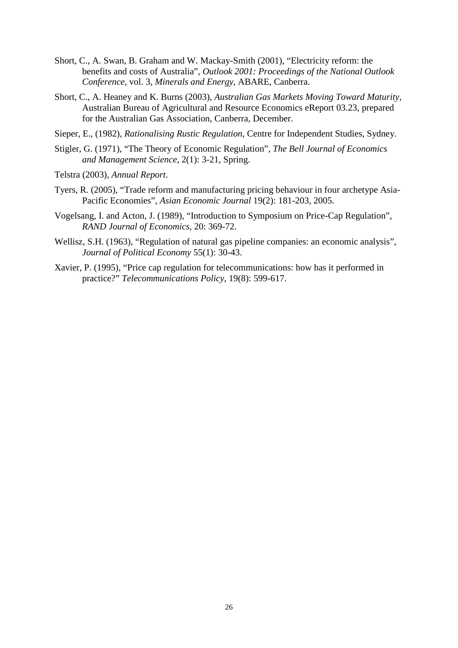- Short, C., A. Swan, B. Graham and W. Mackay-Smith (2001), "Electricity reform: the benefits and costs of Australia", *Outlook 2001: Proceedings of the National Outlook Conference*, vol. 3, *Minerals and Energy*, ABARE, Canberra.
- Short, C., A. Heaney and K. Burns (2003), *Australian Gas Markets Moving Toward Maturity*, Australian Bureau of Agricultural and Resource Economics eReport 03.23, prepared for the Australian Gas Association, Canberra, December.
- Sieper, E., (1982), *Rationalising Rustic Regulation*, Centre for Independent Studies, Sydney.
- Stigler, G. (1971), "The Theory of Economic Regulation", *The Bell Journal of Economics and Management Science*, 2(1): 3-21, Spring.
- Telstra (2003), *Annual Report*.
- Tyers, R. (2005), "Trade reform and manufacturing pricing behaviour in four archetype Asia-Pacific Economies", *Asian Economic Journal* 19(2): 181-203, 2005.
- Vogelsang, I. and Acton, J. (1989), "Introduction to Symposium on Price-Cap Regulation", *RAND Journal of Economics*, 20: 369-72.
- Wellisz, S.H. (1963), "Regulation of natural gas pipeline companies: an economic analysis", *Journal of Political Economy* 55(1): 30-43.
- Xavier, P. (1995), "Price cap regulation for telecommunications: how has it performed in practice?" *Telecommunications Policy*, 19(8): 599-617.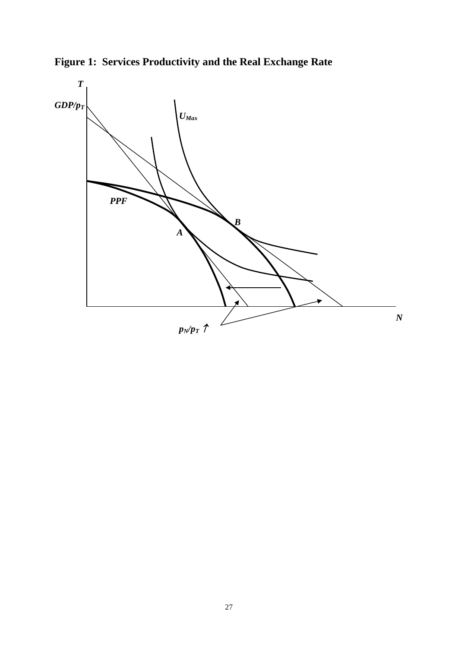**Figure 1: Services Productivity and the Real Exchange Rate**

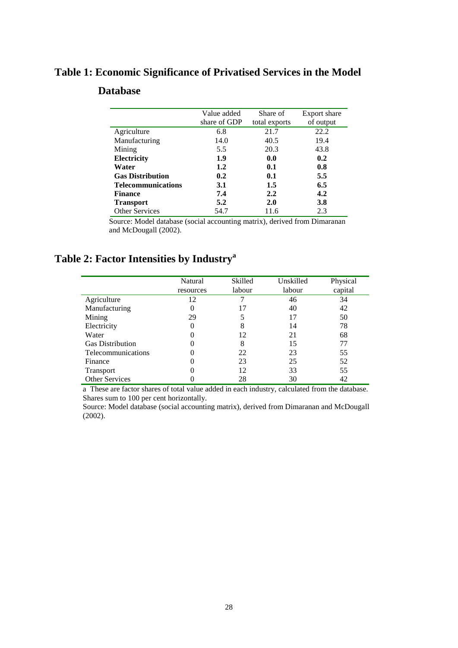## **Table 1: Economic Significance of Privatised Services in the Model**

|                           | Value added<br>share of GDP | Share of<br>total exports | Export share<br>of output |
|---------------------------|-----------------------------|---------------------------|---------------------------|
|                           |                             |                           |                           |
| Agriculture               | 6.8                         | 21.7                      | 22.2                      |
| Manufacturing             | 14.0                        | 40.5                      | 19.4                      |
| Mining                    | 5.5                         | 20.3                      | 43.8                      |
| Electricity               | 1.9                         | 0.0                       | 0.2                       |
| Water                     | 1.2                         | 0.1                       | 0.8                       |
| <b>Gas Distribution</b>   | 0.2                         | 0.1                       | 5.5                       |
| <b>Telecommunications</b> | <b>3.1</b>                  | 1.5                       | 6.5                       |
| <b>Finance</b>            | 7.4                         | 2.2                       | 4.2                       |
| <b>Transport</b>          | 5.2                         | 2.0                       | <b>3.8</b>                |
| <b>Other Services</b>     | 54.7                        | 11.6                      | 2.3                       |

## **Database**

Source: Model database (social accounting matrix), derived from Dimaranan and McDougall (2002).

## **Table 2: Factor Intensities by Industry<sup>a</sup>**

|                         | Natural   | Skilled | Unskilled | Physical |
|-------------------------|-----------|---------|-----------|----------|
|                         | resources | labour  | labour    | capital  |
| Agriculture             | 12        |         | 46        | 34       |
| Manufacturing           | $\theta$  | 17      | 40        | 42       |
| Mining                  | 29        |         | 17        | 50       |
| Electricity             | $\theta$  | 8       | 14        | 78       |
| Water                   | $\theta$  | 12      | 21        | 68       |
| <b>Gas Distribution</b> |           | 8       | 15        | 77       |
| Telecommunications      | 0         | 22      | 23        | 55       |
| Finance                 | 0         | 23      | 25        | 52       |
| Transport               |           | 12      | 33        | 55       |
| <b>Other Services</b>   |           | 28      | 30        | 42       |

a These are factor shares of total value added in each industry, calculated from the database. Shares sum to 100 per cent horizontally.

Source: Model database (social accounting matrix), derived from Dimaranan and McDougall (2002).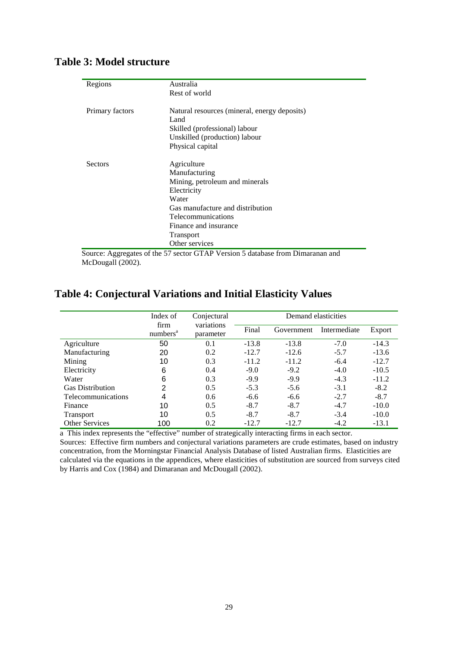## **Table 3: Model structure**

| Regions         | Australia                                    |
|-----------------|----------------------------------------------|
|                 | Rest of world                                |
| Primary factors | Natural resources (mineral, energy deposits) |
|                 | Land                                         |
|                 | Skilled (professional) labour                |
|                 | Unskilled (production) labour                |
|                 | Physical capital                             |
| Sectors         | Agriculture                                  |
|                 | Manufacturing                                |
|                 | Mining, petroleum and minerals               |
|                 | Electricity                                  |
|                 | Water                                        |
|                 | Gas manufacture and distribution             |
|                 | Telecommunications                           |
|                 | Finance and insurance                        |
|                 | Transport                                    |
|                 | Other services                               |

Source: Aggregates of the 57 sector GTAP Version 5 database from Dimaranan and McDougall (2002).

## **Table 4: Conjectural Variations and Initial Elasticity Values**

|                         | Index of                                                | Conjectural | Demand elasticities |            |              |         |  |  |
|-------------------------|---------------------------------------------------------|-------------|---------------------|------------|--------------|---------|--|--|
|                         | variations<br>firm<br>numbers <sup>a</sup><br>parameter |             | Final               | Government | Intermediate | Export  |  |  |
| Agriculture             | 50                                                      | 0.1         | $-13.8$             | $-13.8$    | $-7.0$       | $-14.3$ |  |  |
| Manufacturing           | 20                                                      | 0.2         | $-12.7$             | $-12.6$    | $-5.7$       | $-13.6$ |  |  |
| Mining                  | 10                                                      | 0.3         | $-11.2$             | $-11.2$    | $-6.4$       | $-12.7$ |  |  |
| Electricity             | 6                                                       | 0.4         | $-9.0$              | $-9.2$     | $-4.0$       | $-10.5$ |  |  |
| Water                   | 6                                                       | 0.3         | $-9.9$              | $-9.9$     | $-4.3$       | $-11.2$ |  |  |
| <b>Gas Distribution</b> | $\overline{2}$                                          | 0.5         | $-5.3$              | $-5.6$     | $-3.1$       | $-8.2$  |  |  |
| Telecommunications      | 4                                                       | 0.6         | $-6.6$              | $-6.6$     | $-2.7$       | $-8.7$  |  |  |
| Finance                 | 10                                                      | 0.5         | $-8.7$              | $-8.7$     | $-4.7$       | $-10.0$ |  |  |
| Transport               | 10                                                      | 0.5         | $-8.7$              | $-8.7$     | $-3.4$       | $-10.0$ |  |  |
| <b>Other Services</b>   | 100                                                     | 0.2         | $-12.7$             | $-12.7$    | $-4.2$       | $-13.1$ |  |  |

a This index represents the "effective" number of strategically interacting firms in each sector.

Sources: Effective firm numbers and conjectural variations parameters are crude estimates, based on industry concentration, from the Morningstar Financial Analysis Database of listed Australian firms. Elasticities are calculated via the equations in the appendices, where elasticities of substitution are sourced from surveys cited by Harris and Cox (1984) and Dimaranan and McDougall (2002).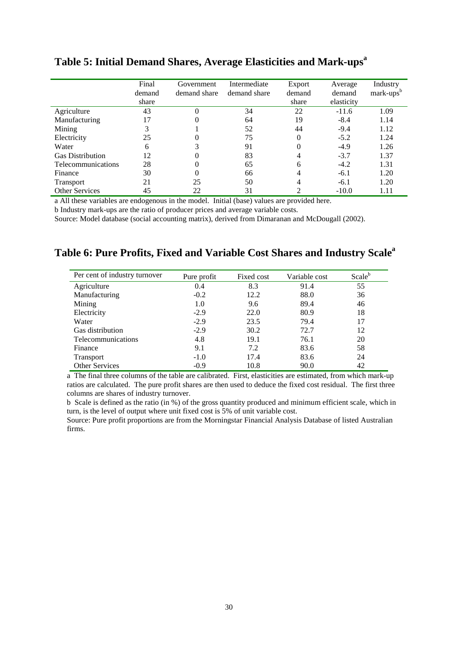|                         | Final<br>demand<br>share | Government<br>demand share | Intermediate<br>demand share | Export<br>demand<br>share | Average<br>demand<br>elasticity | Industry<br>mark-ups <sup>b</sup> |
|-------------------------|--------------------------|----------------------------|------------------------------|---------------------------|---------------------------------|-----------------------------------|
| Agriculture             | 43                       | $\Omega$                   | 34                           | 22                        | $-11.6$                         | 1.09                              |
| Manufacturing           | 17                       | 0                          | 64                           | 19                        | $-8.4$                          | 1.14                              |
| Mining                  | 3                        |                            | 52                           | 44                        | $-9.4$                          | 1.12                              |
| Electricity             | 25                       |                            | 75                           | 0                         | $-5.2$                          | 1.24                              |
| Water                   | 6                        |                            | 91                           | 0                         | $-4.9$                          | 1.26                              |
| <b>Gas Distribution</b> | 12                       | 0                          | 83                           | 4                         | $-3.7$                          | 1.37                              |
| Telecommunications      | 28                       | 0                          | 65                           | 6                         | $-4.2$                          | 1.31                              |
| Finance                 | 30                       | 0                          | 66                           |                           | $-6.1$                          | 1.20                              |
| <b>Transport</b>        | 21                       | 25                         | 50                           | 4                         | $-6.1$                          | 1.20                              |
| <b>Other Services</b>   | 45                       | 22                         | 31                           |                           | $-10.0$                         | 1.11                              |

## **Table 5: Initial Demand Shares, Average Elasticities and Mark-ups<sup>a</sup>**

a All these variables are endogenous in the model. Initial (base) values are provided here.

b Industry mark-ups are the ratio of producer prices and average variable costs.

Source: Model database (social accounting matrix), derived from Dimaranan and McDougall (2002).

## **Table 6: Pure Profits, Fixed and Variable Cost Shares and Industry Scale<sup>a</sup>**

| Per cent of industry turnover | Pure profit | Fixed cost | Variable cost | Scaleb |
|-------------------------------|-------------|------------|---------------|--------|
| Agriculture                   | 0.4         | 8.3        | 91.4          | 55     |
| Manufacturing                 | $-0.2$      | 12.2       | 88.0          | 36     |
| Mining                        | 1.0         | 9.6        | 89.4          | 46     |
| Electricity                   | $-2.9$      | 22.0       | 80.9          | 18     |
| Water                         | $-2.9$      | 23.5       | 79.4          | 17     |
| Gas distribution              | $-2.9$      | 30.2       | 72.7          | 12     |
| <b>Telecommunications</b>     | 4.8         | 19.1       | 76.1          | 20     |
| Finance                       | 9.1         | 7.2        | 83.6          | 58     |
| Transport                     | $-1.0$      | 17.4       | 83.6          | 24     |
| <b>Other Services</b>         | $-0.9$      | 10.8       | 90.0          | 42     |

a The final three columns of the table are calibrated. First, elasticities are estimated, from which mark-up ratios are calculated. The pure profit shares are then used to deduce the fixed cost residual. The first three columns are shares of industry turnover.

b Scale is defined as the ratio (in %) of the gross quantity produced and minimum efficient scale, which in turn, is the level of output where unit fixed cost is 5% of unit variable cost.

Source: Pure profit proportions are from the Morningstar Financial Analysis Database of listed Australian firms.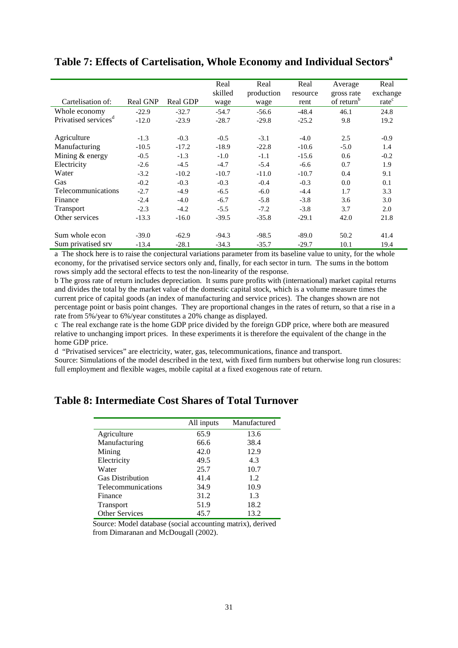|                                  |                 |                 | Real<br>skilled | Real<br>production | Real<br>resource | Average<br>gross rate  | Real<br>exchange  |
|----------------------------------|-----------------|-----------------|-----------------|--------------------|------------------|------------------------|-------------------|
| Cartelisation of:                | <b>Real GNP</b> | <b>Real GDP</b> | wage            | wage               | rent             | of return <sup>b</sup> | rate <sup>c</sup> |
| Whole economy                    | $-22.9$         | $-32.7$         | $-54.7$         | $-56.6$            | $-48.4$          | 46.1                   | 24.8              |
| Privatised services <sup>d</sup> | $-12.0$         | $-23.9$         | $-28.7$         | $-29.8$            | $-25.2$          | 9.8                    | 19.2              |
|                                  |                 |                 |                 |                    |                  |                        |                   |
| Agriculture                      | $-1.3$          | $-0.3$          | $-0.5$          | $-3.1$             | $-4.0$           | 2.5                    | $-0.9$            |
| Manufacturing                    | $-10.5$         | $-17.2$         | $-18.9$         | $-22.8$            | $-10.6$          | $-5.0$                 | 1.4               |
| Mining & energy                  | $-0.5$          | $-1.3$          | $-1.0$          | $-1.1$             | $-15.6$          | 0.6                    | $-0.2$            |
| Electricity                      | $-2.6$          | $-4.5$          | $-4.7$          | $-5.4$             | $-6.6$           | 0.7                    | 1.9               |
| Water                            | $-3.2$          | $-10.2$         | $-10.7$         | $-11.0$            | $-10.7$          | 0.4                    | 9.1               |
| Gas                              | $-0.2$          | $-0.3$          | $-0.3$          | $-0.4$             | $-0.3$           | 0.0                    | 0.1               |
| Telecommunications               | $-2.7$          | $-4.9$          | $-6.5$          | $-6.0$             | $-4.4$           | 1.7                    | 3.3               |
| Finance                          | $-2.4$          | $-4.0$          | $-6.7$          | $-5.8$             | $-3.8$           | 3.6                    | 3.0               |
| <b>Transport</b>                 | $-2.3$          | $-4.2$          | $-5.5$          | $-7.2$             | $-3.8$           | 3.7                    | 2.0               |
| Other services                   | $-13.3$         | $-16.0$         | $-39.5$         | $-35.8$            | $-29.1$          | 42.0                   | 21.8              |
|                                  |                 |                 |                 |                    |                  |                        |                   |
| Sum whole econ                   | $-39.0$         | $-62.9$         | $-94.3$         | $-98.5$            | $-89.0$          | 50.2                   | 41.4              |
| Sum privatised srv               | $-13.4$         | $-28.1$         | $-34.3$         | $-35.7$            | $-29.7$          | 10.1                   | 19.4              |

## **Table 7: Effects of Cartelisation, Whole Economy and Individual Sectors<sup>a</sup>**

a The shock here is to raise the conjectural variations parameter from its baseline value to unity, for the whole economy, for the privatised service sectors only and, finally, for each sector in turn. The sums in the bottom rows simply add the sectoral effects to test the non-linearity of the response.

b The gross rate of return includes depreciation. It sums pure profits with (international) market capital returns and divides the total by the market value of the domestic capital stock, which is a volume measure times the current price of capital goods (an index of manufacturing and service prices). The changes shown are not percentage point or basis point changes. They are proportional changes in the rates of return, so that a rise in a rate from 5%/year to 6%/year constitutes a 20% change as displayed.

c The real exchange rate is the home GDP price divided by the foreign GDP price, where both are measured relative to unchanging import prices. In these experiments it is therefore the equivalent of the change in the home GDP price.

d "Privatised services" are electricity, water, gas, telecommunications, finance and transport.

Source: Simulations of the model described in the text, with fixed firm numbers but otherwise long run closures: full employment and flexible wages, mobile capital at a fixed exogenous rate of return.

## **Table 8: Intermediate Cost Shares of Total Turnover**

|                         | All inputs | Manufactured |
|-------------------------|------------|--------------|
| Agriculture             | 65.9       | 13.6         |
| Manufacturing           | 66.6       | 38.4         |
| Mining                  | 42.0       | 12.9         |
| Electricity             | 49.5       | 4.3          |
| Water                   | 25.7       | 10.7         |
| <b>Gas Distribution</b> | 41.4       | 1.2          |
| Telecommunications      | 34.9       | 10.9         |
| Finance                 | 31.2       | 1.3          |
| Transport               | 51.9       | 18.2         |
| <b>Other Services</b>   | 45.7       | 13.2         |

Source: Model database (social accounting matrix), derived from Dimaranan and McDougall (2002).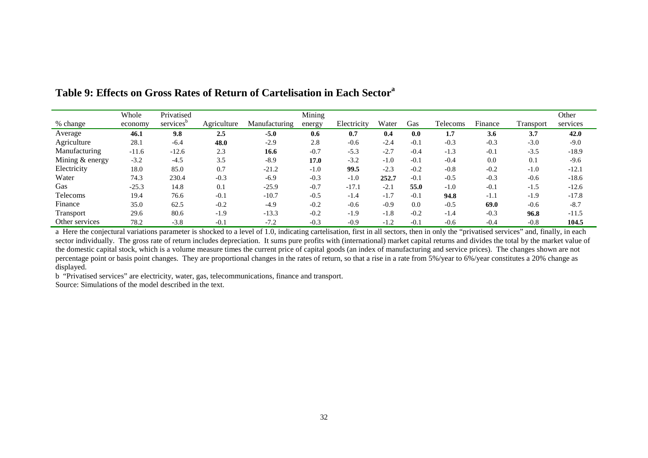|                  | Whole   | Privatised |             |               | Mining |             |        |        |          |         |           | Other    |
|------------------|---------|------------|-------------|---------------|--------|-------------|--------|--------|----------|---------|-----------|----------|
| % change         | economy | services   | Agriculture | Manufacturing | energy | Electricity | Water  | Gas    | Telecoms | Finance | Transport | services |
| Average          | 46.1    | 9.8        | 2.5         | $-5.0$        | 0.6    | 0.7         | 0.4    | 0.0    | 1.7      | 3.6     | 3.7       | 42.0     |
| Agriculture      | 28.1    | $-6.4$     | 48.0        | $-2.9$        | 2.8    | $-0.6$      | $-2.4$ | $-0.1$ | $-0.3$   | $-0.3$  | $-3.0$    | $-9.0$   |
| Manufacturing    | $-11.6$ | $-12.6$    | 2.3         | 16.6          | $-0.7$ | $-5.3$      | $-2.7$ | $-0.4$ | $-1.3$   | $-0.1$  | $-3.5$    | $-18.9$  |
| Mining & energy  | $-3.2$  | $-4.5$     | 3.5         | $-8.9$        | 17.0   | $-3.2$      | $-1.0$ | $-0.1$ | $-0.4$   | 0.0     | 0.1       | $-9.6$   |
| Electricity      | 18.0    | 85.0       | 0.7         | $-21.2$       | $-1.0$ | 99.5        | $-2.3$ | $-0.2$ | $-0.8$   | $-0.2$  | $-1.0$    | $-12.1$  |
| Water            | 74.3    | 230.4      | $-0.3$      | $-6.9$        | $-0.3$ | $-1.0$      | 252.7  | $-0.1$ | $-0.5$   | $-0.3$  | $-0.6$    | $-18.6$  |
| <b>Gas</b>       | $-25.3$ | 14.8       | 0.1         | $-25.9$       | $-0.7$ | $-17.1$     | $-2.1$ | 55.0   | $-1.0$   | $-0.1$  | $-1.5$    | $-12.6$  |
| Telecoms         | 19.4    | 76.6       | $-0.1$      | $-10.7$       | $-0.5$ | $-1.4$      | $-1.7$ | $-0.1$ | 94.8     | $-1.1$  | $-1.9$    | $-17.8$  |
| Finance          | 35.0    | 62.5       | $-0.2$      | $-4.9$        | $-0.2$ | $-0.6$      | $-0.9$ | 0.0    | $-0.5$   | 69.0    | $-0.6$    | $-8.7$   |
| <b>Transport</b> | 29.6    | 80.6       | $-1.9$      | $-13.3$       | $-0.2$ | $-1.9$      | $-1.8$ | $-0.2$ | $-1.4$   | $-0.3$  | 96.8      | $-11.5$  |
| Other services   | 78.2    | $-3.8$     | $-0.1$      | $-7.2$        | $-0.3$ | $-0.9$      | $-1.2$ | $-0.1$ | $-0.6$   | $-0.4$  | $-0.8$    | 104.5    |

**Table 9: Effects on Gross Rates of Return of Cartelisation in Each Sector<sup>a</sup>**

a Here the conjectural variations parameter is shocked to a level of 1.0, indicating cartelisation, first in all sectors, then in only the "privatised services" and, finally, in each sector individually. The gross rate of return includes depreciation. It sums pure profits with (international) market capital returns and divides the total by the market value of the domestic capital stock, which is a volume measure times the current price of capital goods (an index of manufacturing and service prices). The changes shown are not percentage point or basis point changes. They are proportional changes in the rates of return, so that a rise in a rate from 5%/year to 6%/year constitutes a 20% change as displayed.

b "Privatised services" are electricity, water, gas, telecommunications, finance and transport.

Source: Simulations of the model described in the text.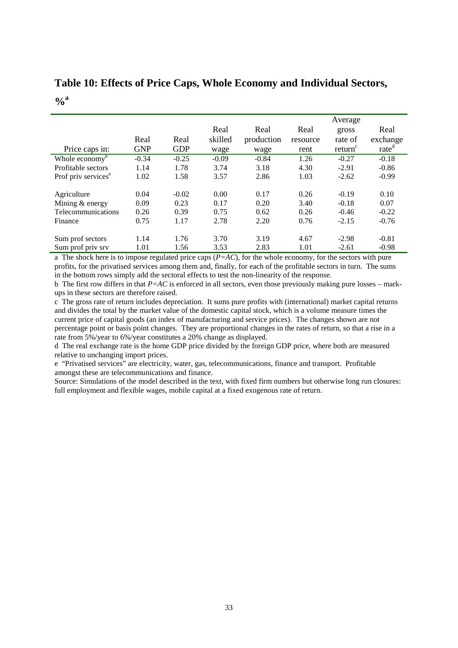## **Table 10: Effects of Price Caps, Whole Economy and Individual Sectors,**

## $\frac{0}{a}$

|                                 |            |            |         |            |          | Average             |                   |
|---------------------------------|------------|------------|---------|------------|----------|---------------------|-------------------|
|                                 |            |            | Real    | Real       | Real     | gross               | Real              |
|                                 | Real       | Real       | skilled | production | resource | rate of             | exchange          |
| Price caps in:                  | <b>GNP</b> | <b>GDP</b> | wage    | wage       | rent     | return <sup>c</sup> | rate <sup>d</sup> |
| Whole economy <sup>b</sup>      | $-0.34$    | $-0.25$    | $-0.09$ | $-0.84$    | 1.26     | $-0.27$             | $-0.18$           |
| Profitable sectors              | 1.14       | 1.78       | 3.74    | 3.18       | 4.30     | $-2.91$             | $-0.86$           |
| Prof priv services <sup>e</sup> | 1.02       | 1.58       | 3.57    | 2.86       | 1.03     | $-2.62$             | $-0.99$           |
| Agriculture                     | 0.04       | $-0.02$    | 0.00    | 0.17       | 0.26     | $-0.19$             | 0.10              |
| Mining & energy                 | 0.09       | 0.23       | 0.17    | 0.20       | 3.40     | $-0.18$             | 0.07              |
| Telecommunications              | 0.26       | 0.39       | 0.75    | 0.62       | 0.26     | $-0.46$             | $-0.22$           |
| Finance                         | 0.75       | 1.17       | 2.78    | 2.20       | 0.76     | $-2.15$             | $-0.76$           |
| Sum prof sectors                | 1.14       | 1.76       | 3.70    | 3.19       | 4.67     | $-2.98$             | $-0.81$           |
| Sum prof priv srv               | 1.01       | 1.56       | 3.53    | 2.83       | 1.01     | $-2.61$             | $-0.98$           |

a The shock here is to impose regulated price caps (*P=AC*), for the whole economy, for the sectors with pure profits, for the privatised services among them and, finally, for each of the profitable sectors in turn. The sums in the bottom rows simply add the sectoral effects to test the non-linearity of the response.

b The first row differs in that  $P=AC$  is enforced in all sectors, even those previously making pure losses – markups in these sectors are therefore raised.

c The gross rate of return includes depreciation. It sums pure profits with (international) market capital returns and divides the total by the market value of the domestic capital stock, which is a volume measure times the current price of capital goods (an index of manufacturing and service prices). The changes shown are not percentage point or basis point changes. They are proportional changes in the rates of return, so that a rise in a rate from 5%/year to 6%/year constitutes a 20% change as displayed.

d The real exchange rate is the home GDP price divided by the foreign GDP price, where both are measured relative to unchanging import prices.

e "Privatised services" are electricity, water, gas, telecommunications, finance and transport. Profitable amongst these are telecommunications and finance.

Source: Simulations of the model described in the text, with fixed firm numbers but otherwise long run closures: full employment and flexible wages, mobile capital at a fixed exogenous rate of return.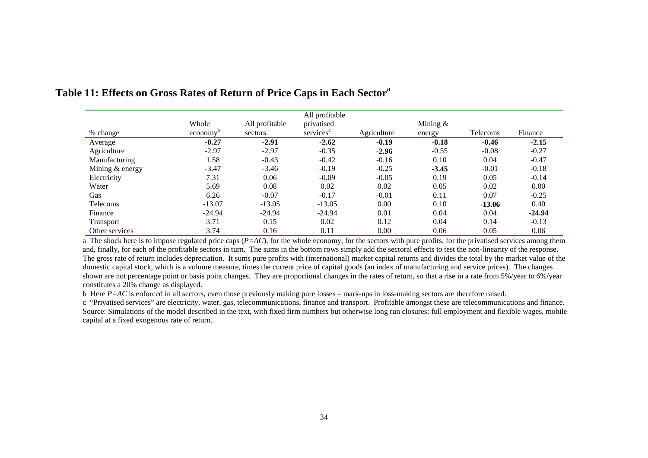|                 | Whole            | All profitable | All profitable<br>privatised |             | Mining $&$ |          |          |
|-----------------|------------------|----------------|------------------------------|-------------|------------|----------|----------|
| % change        | $e_{\rm conomy}$ | sectors        | services <sup>c</sup>        | Agriculture | energy     | Telecoms | Finance  |
| Average         | $-0.27$          | $-2.91$        | $-2.62$                      | $-0.19$     | $-0.18$    | $-0.46$  | $-2.15$  |
| Agriculture     | $-2.97$          | $-2.97$        | $-0.35$                      | $-2.96$     | $-0.55$    | $-0.08$  | $-0.27$  |
| Manufacturing   | 1.58             | $-0.43$        | $-0.42$                      | $-0.16$     | 0.10       | 0.04     | $-0.47$  |
| Mining & energy | $-3.47$          | $-3.46$        | $-0.19$                      | $-0.25$     | $-3.45$    | $-0.01$  | $-0.18$  |
| Electricity     | 7.31             | 0.06           | $-0.09$                      | $-0.05$     | 0.19       | 0.05     | $-0.14$  |
| Water           | 5.69             | 0.08           | 0.02                         | 0.02        | 0.05       | 0.02     | 0.00     |
| Gas             | 6.26             | $-0.07$        | $-0.17$                      | $-0.01$     | 0.11       | 0.07     | $-0.25$  |
| Telecoms        | $-13.07$         | $-13.05$       | $-13.05$                     | 0.00        | 0.10       | $-13.06$ | 0.40     |
| Finance         | $-24.94$         | $-24.94$       | $-24.94$                     | 0.01        | 0.04       | 0.04     | $-24.94$ |
| Transport       | 3.71             | 0.15           | 0.02                         | 0.12        | 0.04       | 0.14     | $-0.13$  |
| Other services  | 3.74             | 0.16           | 0.11                         | 0.00        | 0.06       | 0.05     | 0.06     |

## **Table 11: Effects on Gross Rates of Return of Price Caps in Each Sector<sup>a</sup>**

a The shock here is to impose regulated price caps  $(P=AC)$ , for the whole economy, for the sectors with pure profits, for the privatised services among them and, finally, for each of the profitable sectors in turn. The sums in the bottom rows simply add the sectoral effects to test the non-linearity of the response. The gross rate of return includes depreciation. It sums pure profits with (international) market capital returns and divides the total by the market value of the domestic capital stock, which is a volume measure, times the current price of capital goods (an index of manufacturing and service prices). The changes shown are not percentage point or basis point changes. They are proportional changes in the rates of return, so that a rise in a rate from 5%/year to 6%/year constitutes a 20% change as displayed.

b Here *P=AC* is enforced in all sectors, even those previously making pure losses – mark-ups in loss-making sectors are therefore raised.

c "Privatised services" are electricity, water, gas, telecommunications, finance and transport. Profitable amongst these are telecommunications and finance. Source: Simulations of the model described in the text, with fixed firm numbers but otherwise long run closures: full employment and flexible wages, mobile capital at a fixed exogenous rate of return.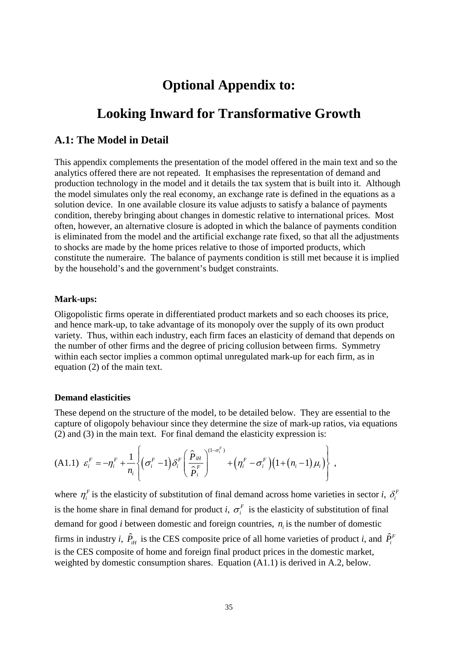## **Optional Appendix to:**

## **Looking Inward for Transformative Growth**

## **A.1: The Model in Detail**

This appendix complements the presentation of the model offered in the main text and so the analytics offered there are not repeated. It emphasises the representation of demand and production technology in the model and it details the tax system that is built into it. Although the model simulates only the real economy, an exchange rate is defined in the equations as a solution device. In one available closure its value adjusts to satisfy a balance of payments condition, thereby bringing about changes in domestic relative to international prices. Most often, however, an alternative closure is adopted in which the balance of payments condition is eliminated from the model and the artificial exchange rate fixed, so that all the adjustments to shocks are made by the home prices relative to those of imported products, which constitute the numeraire. The balance of payments condition is still met because it is implied by the household's and the government's budget constraints.

### **Mark-ups:**

Oligopolistic firms operate in differentiated product markets and so each chooses its price, and hence mark-up, to take advantage of its monopoly over the supply of its own product variety. Thus, within each industry, each firm faces an elasticity of demand that depends on the number of other firms and the degree of pricing collusion between firms. Symmetry within each sector implies a common optimal unregulated mark-up for each firm, as in equation (2) of the main text.

### **Demand elasticities**

These depend on the structure of the model, to be detailed below. They are essential to the capture of oligopoly behaviour since they determine the size of mark-up ratios, via equations (2) and (3) in the main text. For final demand the elasticity expression is:

(A1.1) 
$$
\varepsilon_i^F = -\eta_i^F + \frac{1}{n_i} \left\{ (\sigma_i^F - 1) \delta_i^F \left( \frac{\hat{P}_{iH}}{\hat{P}_i^F} \right)^{(1 - \sigma_i^F)} + (\eta_i^F - \sigma_i^F) (1 + (n_i - 1) \mu_i) \right\},
$$

where  $\eta_i^F$  is the elasticity of substitution of final demand across home varieties in sector *i*,  $\delta_i^F$ is the home share in final demand for product *i*,  $\sigma_i^F$  is the elasticity of substitution of final demand for good *i* between domestic and foreign countries,  $n_i$  is the number of domestic firms in industry *i*,  $\hat{P}_{iH}$  is the CES composite price of all home varieties of product *i*, and  $\hat{P}_{i}^{F}$ is the CES composite of home and foreign final product prices in the domestic market, weighted by domestic consumption shares. Equation (A1.1) is derived in A.2, below.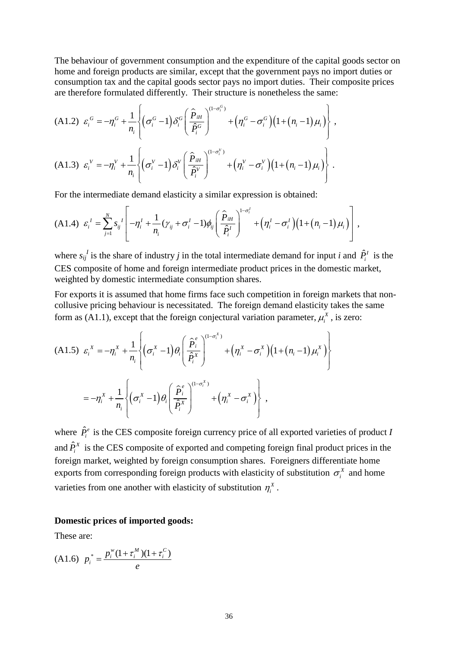The behaviour of government consumption and the expenditure of the capital goods sector on home and foreign products are similar, except that the government pays no import duties or consumption tax and the capital goods sector pays no import duties. Their composite prices are therefore formulated differently. Their structure is nonetheless the same:

(A1.2) 
$$
\varepsilon_i^G = -\eta_i^G + \frac{1}{n_i} \left\{ (\sigma_i^G - 1) \delta_i^G \left( \frac{\hat{P}_{iH}}{\hat{P}_i^G} \right)^{(1 - \sigma_i^G)} + (\eta_i^G - \sigma_i^G) (1 + (n_i - 1) \mu_i) \right\},
$$
  
\n(A1.3)  $\varepsilon_i^V = -\eta_i^V + \frac{1}{n_i} \left\{ (\sigma_i^V - 1) \delta_i^V \left( \frac{\hat{P}_{iH}}{\hat{P}_i^V} \right)^{(1 - \sigma_i^V)} + (\eta_i^V - \sigma_i^V) (1 + (n_i - 1) \mu_i) \right\}.$ 

For the intermediate demand elasticity a similar expression is obtained:

(A1.4) 
$$
\varepsilon_i^I = \sum_{j=1}^N s_{ij}^I \left[ -\eta_i^I + \frac{1}{n_i} (\gamma_{ij} + \sigma_i^I - 1) \phi_{ij} \left( \frac{\hat{P}_{iH}}{\hat{P}_i^I} \right)^{1 - \sigma_i^I} + (\eta_i^I - \sigma_i^I) (1 + (n_i - 1) \mu_i) \right],
$$

where  $s_{ij}^I$  is the share of industry *j* in the total intermediate demand for input *i* and  $\hat{P}_i^I$  is the CES composite of home and foreign intermediate product prices in the domestic market, weighted by domestic intermediate consumption shares.

For exports it is assumed that home firms face such competition in foreign markets that noncollusive pricing behaviour is necessitated. The foreign demand elasticity takes the same form as (A1.1), except that the foreign conjectural variation parameter,  $\mu_i^X$ , is zero:

$$
(A1.5) \varepsilon_i^x = -\eta_i^x + \frac{1}{n_i} \left\{ (\sigma_i^x - 1) \theta_i \left( \frac{\hat{P}_i^e}{\hat{P}_i^x} \right)^{(1 - \sigma_i^x)} + (\eta_i^x - \sigma_i^x) (1 + (n_i - 1) \mu_i^x) \right\}
$$

$$
= -\eta_i^x + \frac{1}{n_i} \left\{ (\sigma_i^x - 1) \theta_i \left( \frac{\hat{P}_i^e}{\hat{P}_i^x} \right)^{(1 - \sigma_i^x)} + (\eta_i^x - \sigma_i^x) \right\},
$$

where  $\hat{P}_i^e$  is the CES composite foreign currency price of all exported varieties of product *I* and  $\hat{P}_i^X$  is the CES composite of exported and competing foreign final product prices in the foreign market, weighted by foreign consumption shares. Foreigners differentiate home exports from corresponding foreign products with elasticity of substitution  $\sigma_i^X$  and home varieties from one another with elasticity of substitution  $\eta_i^X$ .

## **Domestic prices of imported goods:**

These are:

$$
(A1.6) \ \ p_i^* = \frac{p_i^{\, \nu} (1 + \tau_i^{\, M})(1 + \tau_i^{\, C})}{e}
$$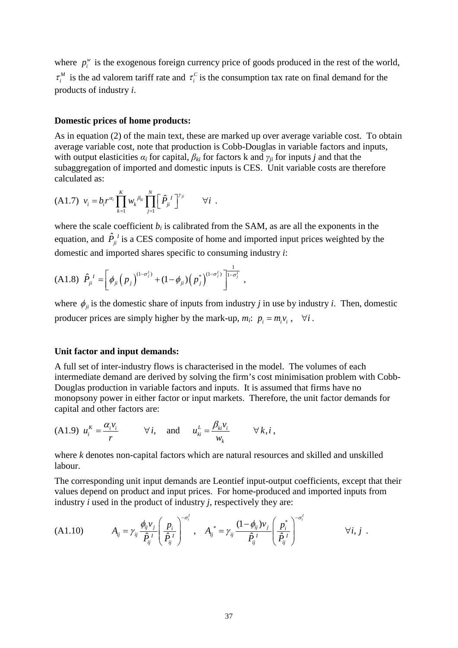where  $p_i^{\prime\prime}$  is the exogenous foreign currency price of goods produced in the rest of the world,  $\tau_i^M$  is the ad valorem tariff rate and  $\tau_i^C$  is the consumption tax rate on final demand for the products of industry *i*.

### **Domestic prices of home products:**

As in equation (2) of the main text, these are marked up over average variable cost. To obtain average variable cost, note that production is Cobb-Douglas in variable factors and inputs, with output elasticities  $\alpha_i$  for capital,  $\beta_{ki}$  for factors k and  $\gamma_{ii}$  for inputs *j* and that the subaggregation of imported and domestic inputs is CES. Unit variable costs are therefore calculated as:

(A1.7) 
$$
v_i = b_i r^{\alpha_i} \prod_{k=1}^K w_k^{\beta_{ki}} \prod_{j=1}^N \left[ \hat{P}_{ji}^{\ \ I} \right]^{y_{ji}} \qquad \forall i
$$
.

where the scale coefficient  $b_i$  is calibrated from the SAM, as are all the exponents in the equation, and  $\hat{P}_{ii}^I$  is a CES composite of home and imported input prices weighted by the domestic and imported shares specific to consuming industry *i*:

$$
(A1.8) \hat{P}_{ji}^{\ \ I} = \left[ \phi_{ji} \left( p_j \right)^{(1-\sigma_j^I)} + (1-\phi_{ji}) \left( p_j^* \right)^{(1-\sigma_j^I)} \right]_{1-\sigma_j^I}^{1},
$$

where  $\phi_{ii}$  is the domestic share of inputs from industry *j* in use by industry *i*. Then, domestic producer prices are simply higher by the mark-up,  $m_i$ :  $p_i = m_i v_i$ ,  $\forall i$ .

### **Unit factor and input demands:**

A full set of inter-industry flows is characterised in the model. The volumes of each intermediate demand are derived by solving the firm's cost minimisation problem with Cobb-Douglas production in variable factors and inputs. It is assumed that firms have no monopsony power in either factor or input markets. Therefore, the unit factor demands for capital and other factors are:

(A1.9) 
$$
u_i^K = \frac{\alpha_i v_i}{r}
$$
  $\forall i$ , and  $u_{ki}^L = \frac{\beta_{ki} v_i}{w_k}$   $\forall k, i$ ,

where *k* denotes non-capital factors which are natural resources and skilled and unskilled labour.

The corresponding unit input demands are Leontief input-output coefficients, except that their values depend on product and input prices. For home-produced and imported inputs from industry *i* used in the product of industry *j*, respectively they are:

(A1.10) 
$$
A_{ij} = \gamma_{ij} \frac{\phi_{ij} v_j}{\hat{P}_{ij}^{I}} \left( \frac{p_i}{\hat{P}_{ij}^{I}} \right)^{-\sigma_i^{I}}, \quad A_{ij}^{*} = \gamma_{ij} \frac{(1 - \phi_{ij}) v_j}{\hat{P}_{ij}^{I}} \left( \frac{p_i^{*}}{\hat{P}_{ij}^{I}} \right)^{-\sigma_i^{I}} \qquad \forall i, j.
$$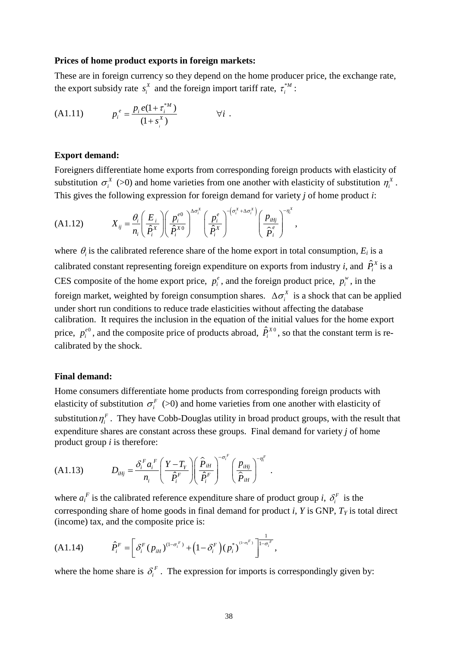### **Prices of home product exports in foreign markets:**

These are in foreign currency so they depend on the home producer price, the exchange rate, the export subsidy rate  $s_i^X$  and the foreign import tariff rate,  $\tau_i^*$ :

(A1.11) 
$$
p_i^e = \frac{p_i e(1 + \tau_i^{*M})}{(1 + s_i^{X})} \qquad \forall i.
$$

### **Export demand:**

Foreigners differentiate home exports from corresponding foreign products with elasticity of substitution  $\sigma_i^X$  (>0) and home varieties from one another with elasticity of substitution  $\eta_i^X$ . This gives the following expression for foreign demand for variety *j* of home product *i*:

$$
(A1.12) \tX_{ij} = \frac{\theta_i}{n_i} \left( \frac{E_i}{\hat{P}_i^x} \right) \left( \frac{p_i^{e0}}{\hat{P}_i^{x0}} \right)^{\Delta \sigma_i^x} \left( \frac{p_i^e}{\hat{P}_i^x} \right)^{-\left( \sigma_i^x + \Delta \sigma_i^x \right)} \left( \frac{p_{iHj}}{\hat{P}_i^e} \right)^{-\eta_i^x},
$$

where  $\theta_i$  is the calibrated reference share of the home export in total consumption,  $E_i$  is a calibrated constant representing foreign expenditure on exports from industry *i*, and  $\hat{P}^x_i$  is a CES composite of the home export price,  $p_i^e$ , and the foreign product price,  $p_i^w$ , in the foreign market, weighted by foreign consumption shares.  $\Delta \sigma_i^X$  is a shock that can be applied under short run conditions to reduce trade elasticities without affecting the database calibration. It requires the inclusion in the equation of the initial values for the home export price,  $p_i^{e0}$ , and the composite price of products abroad,  $\hat{P}_i^{X0}$ , so that the constant term is recalibrated by the shock.

### **Final demand:**

Home consumers differentiate home products from corresponding foreign products with elasticity of substitution  $\sigma_i^F$  (>0) and home varieties from one another with elasticity of substitution  $\eta_i^F$ . They have Cobb-Douglas utility in broad product groups, with the result that expenditure shares are constant across these groups. Final demand for variety *j* of home product group *i* is therefore:

$$
(A1.13) \t DiHj = \frac{\delta_i^F a_i^F}{n_i} \left( \frac{Y - T_Y}{\hat{P}_i^F} \right) \left( \frac{\hat{P}_{iH}}{\hat{P}_i^F} \right)^{-\sigma_i^F} \left( \frac{P_{iHj}}{\hat{P}_{iH}} \right)^{-\eta_i^F}.
$$

where  $a_i^F$  is the calibrated reference expenditure share of product group *i*,  $\delta_i^F$  is the corresponding share of home goods in final demand for product *i*, *Y* is GNP,  $T<sub>y</sub>$  is total direct (income) tax, and the composite price is:

(A1.14) 
$$
\hat{P}_{i}^{F} = \left[\delta_{i}^{F}(p_{iH})^{(1-\sigma_{i}^{F})} + (1-\delta_{i}^{F})(p_{i}^{*})^{(1-\sigma_{i}^{F})}\right]_{1-\sigma_{i}^{F}},
$$

where the home share is  $\delta_i^F$ . The expression for imports is correspondingly given by: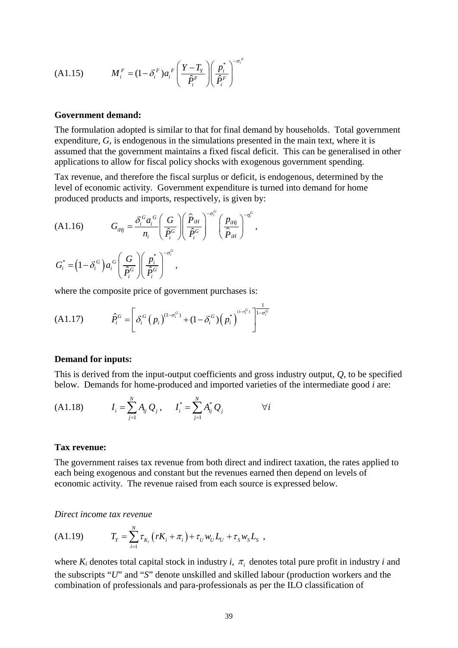(A1.15) 
$$
M_i^F = (1 - \delta_i^F) a_i^F \left(\frac{Y - T_y}{\hat{P}_i^F}\right) \left(\frac{p_i^*}{\hat{P}_i^F}\right)^{-\sigma_i^F}
$$

### **Government demand:**

The formulation adopted is similar to that for final demand by households. Total government expenditure, *G*, is endogenous in the simulations presented in the main text, where it is assumed that the government maintains a fixed fiscal deficit. This can be generalised in other applications to allow for fiscal policy shocks with exogenous government spending.

Tax revenue, and therefore the fiscal surplus or deficit, is endogenous, determined by the level of economic activity. Government expenditure is turned into demand for home produced products and imports, respectively, is given by:

$$
(A1.16) \tGiHj = \frac{\delta_i^G a_i^G}{n_i} \left( \frac{G}{\hat{P}_i^G} \right) \left( \frac{\hat{P}_{iH}}{\hat{P}_i^G} \right)^{-\sigma_i^G} \left( \frac{p_{iHj}}{\hat{P}_{iH}} \right)^{-\eta_i^G},
$$

$$
G_i^* = \left(1 - \delta_i^G\right) a_i^G \left(\frac{G}{\hat{P}_i^G}\right) \left(\frac{p_i^*}{\hat{P}_i^G}\right)^{-\sigma_i^G}
$$

where the composite price of government purchases is:

(A1.17) 
$$
\hat{P}_{i}^{G} = \left[\delta_{i}^{G}(p_{i})^{(1-\sigma_{i}^{G})} + (1-\delta_{i}^{G})(p_{i}^{*})^{(1-\sigma_{i}^{G})}\right]^{\frac{1}{1-\sigma_{i}^{G}}}
$$

,

### **Demand for inputs:**

This is derived from the input-output coefficients and gross industry output, *Q*, to be specified below. Demands for home-produced and imported varieties of the intermediate good *i* are:

(A1.18) 
$$
I_{i} = \sum_{j=1}^{N} A_{ij} Q_{j}, \quad I_{i}^{*} = \sum_{j=1}^{N} A_{ij}^{*} Q_{j} \qquad \forall i
$$

#### **Tax revenue:**

The government raises tax revenue from both direct and indirect taxation, the rates applied to each being exogenous and constant but the revenues earned then depend on levels of economic activity. The revenue raised from each source is expressed below.

*Direct income tax revenue*

(A1.19) 
$$
T_{Y} = \sum_{i=1}^{N} \tau_{K_{i}} (rK_{i} + \pi_{i}) + \tau_{U} w_{U} L_{U} + \tau_{S} w_{S} L_{S} ,
$$

*N*

where  $K_i$  denotes total capital stock in industry *i*,  $\pi_i$  denotes total pure profit in industry *i* and the subscripts "*U*" and "*S*" denote unskilled and skilled labour (production workers and the combination of professionals and para-professionals as per the ILO classification of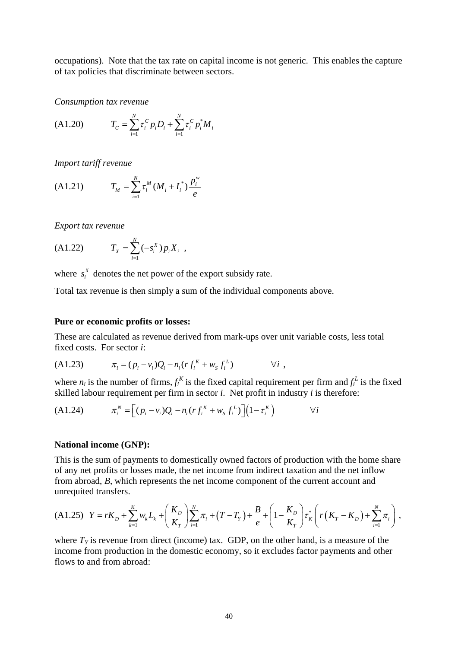occupations). Note that the tax rate on capital income is not generic. This enables the capture of tax policies that discriminate between sectors.

*Consumption tax revenue*

(A1.20) 
$$
T_C = \sum_{i=1}^{N} \tau_i^C p_i D_i + \sum_{i=1}^{N} \tau_i^C p_i^* M_i
$$

*Import tariff revenue*

(A1.21) 
$$
T_M = \sum_{i=1}^N \tau_i^M (M_i + I_i^*) \frac{p_i^w}{e}
$$

*Export tax revenue*

$$
(A1.22) \t\t T_X = \sum_{i=1}^N (-s_i^X) p_i X_i ,
$$

where  $s_i^X$  denotes the net power of the export subsidy rate.

Total tax revenue is then simply a sum of the individual components above.

### **Pure or economic profits or losses:**

These are calculated as revenue derived from mark-ups over unit variable costs, less total fixed costs. For sector *i*:

(A1.23) 
$$
\pi_i = (p_i - v_i)Q_i - n_i(r f_i^K + w_s f_i^L) \qquad \forall i ,
$$

where  $n_i$  is the number of firms,  $f_i^K$  is the fixed capital requirement per firm and  $f_i^L$  is the fixed skilled labour requirement per firm in sector *i*. Net profit in industry *i* is therefore:

$$
(A1.24) \t\t \pi_i^N = \left[ (p_i - v_i)Q_i - n_i (r f_i^K + w_s f_i^L) \right] \left(1 - \tau_i^K\right) \t\t \forall i
$$

### **National income (GNP):**

This is the sum of payments to domestically owned factors of production with the home share of any net profits or losses made, the net income from indirect taxation and the net inflow from abroad, *B*, which represents the net income component of the current account and unrequited transfers.

$$
(A1.25) \ \ Y = rK_D + \sum_{k=1}^K w_k L_k + \left(\frac{K_D}{K_T}\right) \sum_{i=1}^N \pi_i + (T - T_Y) + \frac{B}{e} + \left(1 - \frac{K_D}{K_T}\right) \tau_k^* \left(r\left(K_T - K_D\right) + \sum_{i=1}^N \pi_i\right),
$$

where  $T_y$  is revenue from direct (income) tax. GDP, on the other hand, is a measure of the income from production in the domestic economy, so it excludes factor payments and other flows to and from abroad: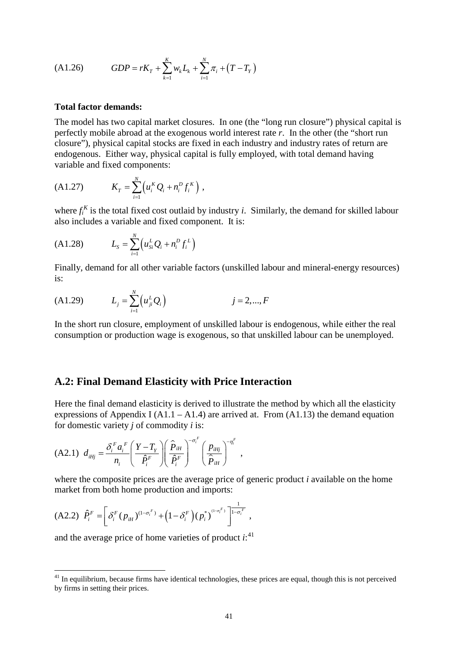$$
(A1.26) \tGDP = rK_T + \sum_{k=1}^{K} w_k L_k + \sum_{i=1}^{N} \pi_i + (T - T_Y)
$$

### **Total factor demands:**

The model has two capital market closures. In one (the "long run closure") physical capital is perfectly mobile abroad at the exogenous world interest rate *r*. In the other (the "short run closure"), physical capital stocks are fixed in each industry and industry rates of return are endogenous. Either way, physical capital is fully employed, with total demand having variable and fixed components:

(A1.27) 
$$
K_T = \sum_{i=1}^N \left( u_i^K Q_i + n_i^D f_i^K \right),
$$

where  $f_i^K$  is the total fixed cost outlaid by industry *i*. Similarly, the demand for skilled labour also includes a variable and fixed component. It is:

(A1.28) 
$$
L_{S} = \sum_{i=1}^{N} \left( u_{Si}^{L} Q_{i} + n_{i}^{D} f_{i}^{L} \right)
$$

Finally, demand for all other variable factors (unskilled labour and mineral-energy resources) is:

(A1.29) 
$$
L_j = \sum_{i=1}^{N} \left( u_{ji}^L Q_i \right) \qquad j = 2, ..., F
$$

In the short run closure, employment of unskilled labour is endogenous, while either the real consumption or production wage is exogenous, so that unskilled labour can be unemployed.

### **A.2: Final Demand Elasticity with Price Interaction**

Here the final demand elasticity is derived to illustrate the method by which all the elasticity expressions of Appendix I (A1.1 – A1.4) are arrived at. From (A1.13) the demand equation for domestic variety *j* of commodity *i* is:

(A2.1) 
$$
d_{iHj} = \frac{\delta_i^F a_i^F}{n_i} \left( \frac{Y - T_Y}{\hat{P}_i^F} \right) \left( \frac{\hat{P}_{iH}}{\hat{P}_i^F} \right)^{-\sigma_i^F} \left( \frac{p_{iHj}}{\hat{P}_{iH}} \right)^{-\eta_i^F},
$$

where the composite prices are the average price of generic product *i* available on the home market from both home production and imports:

$$
(A2.2) \ \hat{P}_{i}^{F} = \left[ \delta_{i}^{F} (p_{iH})^{(1-\sigma_{i}^{F})} + \left(1-\delta_{i}^{F}\right) (p_{i}^{*})^{(1-\sigma_{i}^{F})}\right]_{1-\sigma_{i}^{F}}^{1},
$$

and the average price of home varieties of product *i*: [41](#page-43-0)

<u>.</u>

<span id="page-43-0"></span> $41$  In equilibrium, because firms have identical technologies, these prices are equal, though this is not perceived by firms in setting their prices.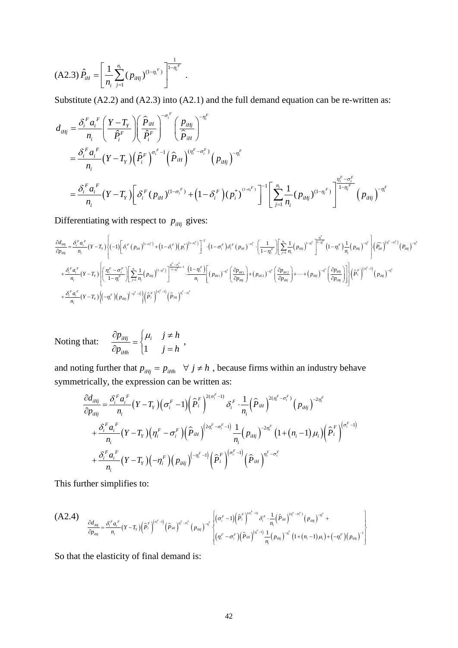$$
(A2.3)\hat{P}_{iH} = \left[\frac{1}{n_i}\sum_{j=1}^{n_i} (p_{iHj})^{(1-\eta_i^F)}\right]^{\frac{1}{1-\eta_i^F}}.
$$

Substitute (A2.2) and (A2.3) into (A2.1) and the full demand equation can be re-written as:

$$
d_{iHj} = \frac{\delta_i^F a_i^F}{n_i} \left( \frac{Y - T_Y}{\hat{P}_i^F} \right) \left( \frac{\hat{P}_{iH}}{\hat{P}_i^F} \right)^{-\sigma_i^F} \left( \frac{p_{iHj}}{\hat{P}_{iH}} \right)^{-\eta_i^F}
$$
  
\n
$$
= \frac{\delta_i^F a_i^F}{n_i} (Y - T_Y) \left( \hat{P}_i^F \right)^{\sigma_i^F - 1} \left( \hat{P}_{iH} \right)^{(\eta_i^F - \sigma_i^F)} (p_{iHj})^{-\eta_i^F}
$$
  
\n
$$
= \frac{\delta_i^F a_i^F}{n_i} (Y - T_Y) \left[ \delta_i^F (p_{iH})^{(1 - \sigma_i^F)} + (1 - \delta_i^F) (p_i^*)^{(1 - \sigma_i^F)} \right]^{-1} \left[ \sum_{j=1}^{n_i} \frac{1}{n_i} (p_{iHj})^{(1 - \eta_i^F)} \right]^{\frac{\eta_i^F - \sigma_i^F}{1 - \eta_i^F}} (p_{iHj})^{-\eta_i^F}
$$

Differentiating with respect to  $p_{iHj}$  gives:

$$
\begin{split} &\frac{\partial d_{uij}}{\partial p_{uij}}=\frac{\delta_i^F a_i^F}{n_i}\left(Y-T_Y\right)\left\{(-1)\left[\delta_i^F\left(p_{uij}\right)^{(1-\sigma_i^F)}+\left(1-\delta_i^F\right)\left(p_i^*\right)^{(1-\sigma_i^F)}\right]^{-2}\cdot\left(1-\sigma_i^F\right)\delta_i^F\left(p_{uij}\right)^{-\sigma_i^F}\cdot\left(\frac{1}{1-\eta_i^F}\right)\left[\sum_{j=1}^{n_i}\frac{1}{n_i}\left(p_{uij}\right)^{1-\eta_i^F}\right]^{-\frac{\eta_i^F}{n_i}}\left(1-\eta_i^F\right)\frac{1}{n_i}\left(p_{uij}\right)^{-\eta_i^F}\left(\widehat{P_{uij}}\right)^{\eta_i^F-\sigma_i^F}\right\}\\ &+\frac{\delta_i^F a_i^F}{n_i}\left(Y-T_Y\right)\left\{\left(\frac{\eta_i^F-\sigma_i^F}{1-\eta_i^F}\right)\left[\sum_{j=1}^{n_i}\frac{1}{n_i}\left(p_{uij}\right)^{(1-\eta_i^F)}\right]^{-\frac{\eta_i^F-\sigma_i^F}{n_i}}\cdot\left(\frac{1-\eta_i^F}{n_i}\right)\left[\left(p_{u11}\right)^{-\eta_i^F}\left(\frac{\partial p_{u11}}{\partial p_{uij}}\right)+\left(p_{u22}\right)^{-\eta_i^F}\left(\frac{\partial p_{u22}}{\partial p_{uij}}\right)+\cdots+\left(p_{uij}\right)^{-\eta_i^F}\left(\frac{\partial p_{uij}}{\partial p_{uij}}\right)\right]\right\}\left(\widehat{P}_i^F\right)^{(\sigma_i^F-1)}\left(p_{uij}\right)^{-\eta_i^F}\left(\widehat{P}_{uij}^F\right)^{-\frac{\eta_i^F-\sigma_i^F}{n_i}}\left(\widehat{P}_{uij}^F\right)^{-\frac{\eta_i^F-\sigma_i^F}{n_i}}\left(\widehat{P}_{uij}^F\right)^{-\frac{\eta_i^F-\sigma_i^F}{n_i}}\right)\right\}\left(\widehat{P}_i^F\right)^{(\sigma_i^F-1)}\left(p_{uij}\right)^{-\frac{\eta_i^F-\sigma_i^F}{n_i}}\left(\widehat{P}_{uij}\right)^{-\frac{\eta_i^F-\sigma_i^F}{n_i}}\left(\widehat{P}_{uij}^F\right)^{-\frac{\eta_i^F-\sigma_i^F}{
$$

Noting that:  $\frac{OP_{iHj}}{\partial p_{iHj}} = \begin{cases} \mu_i & \text{if } i \neq j \\ 1 & \text{otherwise} \end{cases}$ *iHh*  $p_{iHi}$   $\left(\mu_i$   $j \neq h\right)$  $\frac{\partial p_{iHj}}{\partial p_{iHh}} = \begin{cases} \mu_i & j \neq h \\ 1 & j = h \end{cases}$ ,

and noting further that  $p_{iHj} = p_{iHh}$   $\forall j \neq h$ , because firms within an industry behave symmetrically, the expression can be written as:

$$
\frac{\partial d_{iHj}}{\partial p_{iHj}} = \frac{\delta_i^F a_i^F}{n_i} (Y - T_Y) (\sigma_i^F - 1) (\hat{P}_i^F)^{2(\sigma_i^F - 1)} \delta_i^F \cdot \frac{1}{n_i} (\hat{P}_{iH})^{2(\eta_i^F - \sigma_i^F)} (p_{iHj})^{-2\eta_i^F}
$$
\n
$$
+ \frac{\delta_i^F a_i^F}{n_i} (Y - T_Y) (\eta_i^F - \sigma_i^F) (\hat{P}_{iH})^{2\eta_i^F - \sigma_i^F - 1} \frac{1}{n_i} (p_{iHj})^{-2\eta_i^F} (1 + (n_i - 1) \mu_i) (\hat{P}_i^F)^{(\sigma_i^F - 1)}
$$
\n
$$
+ \frac{\delta_i^F a_i^F}{n_i} (Y - T_Y) (-\eta_i^F) (p_{iHj})^{(-\eta_i^F - 1)} (\hat{P}_i^F)^{(\sigma_i^F - 1)} (\hat{P}_{iH})^{\eta_i^F - \sigma_i^F}
$$

This further simplifies to:

$$
(A2.4) \quad \frac{\partial d_{i\mu_{ij}}}{\partial p_{i\mu_{ij}}} = \frac{\delta_i^F a_i^F}{n_i} (Y - T_Y) \left( \hat{P}_i^F \right)^{(\sigma_i^F - 1)} \left( \hat{P}_{i\mu} \right)^{\eta_i^F - \sigma_i^F} \left( p_{i\mu_{ij}} \right)^{-\eta_i^F} \left\{ \left( \sigma_i^F - 1 \right) \left( \hat{P}_i^F \right)^{(\sigma_i^F - 1)} \delta_i^F \cdot \frac{1}{n_i} \left( \hat{P}_{i\mu} \right)^{(\eta_i^F - \sigma_i^F)} \left( p_{i\mu_{ij}} \right)^{-\eta_i^F} + \left( \sigma_i^F \right)^{(\sigma_i^F - 1)} \frac{1}{n_i} \left( p_{i\mu_{ij}} \right)^{-\eta_i^F} \left( 1 + (n_i - 1) \mu_i \right) + \left( -\eta_i^F \right) \left( p_{i\mu_{ij}} \right)^{-1} \right\}
$$

So that the elasticity of final demand is: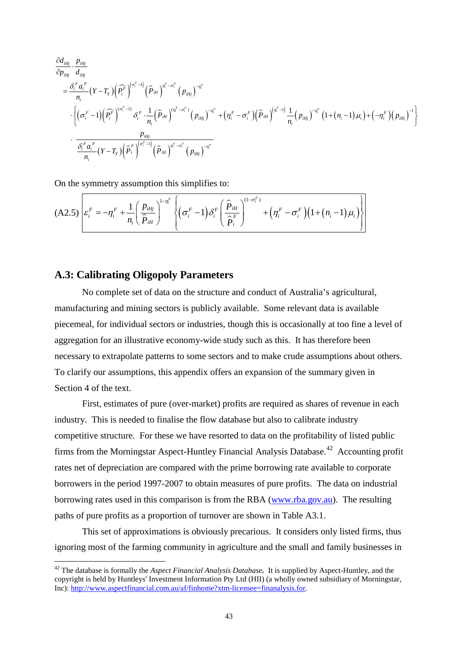$$
\frac{\partial d_{iHj}}{\partial p_{iHj}} \cdot \frac{p_{iHj}}{d_{iHj}} \\
= \frac{\delta_i^F a_i^F}{n_i} (Y - T_Y) \left( \widehat{P}_i^F \right)^{(\sigma_i^F - 1)} \left( \widehat{P}_{iH} \right)^{\eta_i^F - \sigma_i^F} \left( p_{iHj} \right)^{-\eta_i^F} \\
\cdot \left\{ \left( \sigma_i^F - 1 \right) \left( \widehat{P}_i^F \right)^{(\sigma_i^F - 1)} \delta_i^F \cdot \frac{1}{n_i} \left( \widehat{P}_{iH} \right)^{(\eta_i^F - \sigma_i^F)} \left( p_{iHj} \right)^{-\eta_i^F} + \left( \eta_i^F - \sigma_i^F \right) \left( \widehat{P}_{iH} \right)^{(\eta_i^F - 1)} \frac{1}{n_i} \left( p_{iHj} \right)^{-\eta_i^F} \left( 1 + \left( n_i - 1 \right) \mu_i \right) + \left( -\eta_i^F \right) \left( p_{iHj} \right)^{-1} \right\} \\
\cdot \frac{p_{iHj}}{\frac{\delta_i^F a_i^F}{n_i} (Y - T_Y) \left( \widehat{P}_i^F \right)^{(\sigma_i^F - 1)} \left( \widehat{P}_{iH} \right)^{\eta_i^F - \sigma_i^F} \left( p_{iHj} \right)^{-\eta_i^F}
$$

On the symmetry assumption this simplifies to:

$$
(A2.5)\left|\varepsilon_i^F = -\eta_i^F + \frac{1}{n_i} \left(\frac{p_{iHj}}{\hat{P}_{iH}}\right)^{1-\eta_i^F} \left\{ \left(\sigma_i^F - 1\right)\delta_i^F \left(\frac{\hat{P}_{iH}}{\hat{P}_{i}}\right)^{(1-\sigma_i^F)} + \left(\eta_i^F - \sigma_i^F\right)\left(1 + \left(n_i - 1\right)\mu_i\right) \right\}
$$

### **A.3: Calibrating Oligopoly Parameters**

-

No complete set of data on the structure and conduct of Australia's agricultural, manufacturing and mining sectors is publicly available. Some relevant data is available piecemeal, for individual sectors or industries, though this is occasionally at too fine a level of aggregation for an illustrative economy-wide study such as this. It has therefore been necessary to extrapolate patterns to some sectors and to make crude assumptions about others. To clarify our assumptions, this appendix offers an expansion of the summary given in Section 4 of the text.

First, estimates of pure (over-market) profits are required as shares of revenue in each industry. This is needed to finalise the flow database but also to calibrate industry competitive structure. For these we have resorted to data on the profitability of listed public firms from the Morningstar Aspect-Huntley Financial Analysis Database.<sup>42</sup> Accounting profit rates net of depreciation are compared with the prime borrowing rate available to corporate borrowers in the period 1997-2007 to obtain measures of pure profits. The data on industrial borrowing rates used in this comparison is from the RBA [\(www.rba.gov.au\)](http://www.rba.gov.au/). The resulting paths of pure profits as a proportion of turnover are shown in Table A3.1.

This set of approximations is obviously precarious. It considers only listed firms, thus ignoring most of the farming community in agriculture and the small and family businesses in

<span id="page-45-0"></span><sup>42</sup> The database is formally the *Aspect Financial Analysis Database.* It is supplied by Aspect-Huntley, and the copyright is held by Huntleys' Investment Information Pty Ltd (HII) (a wholly owned subsidiary of Morningstar, Inc): [http://www.aspectfinancial.com.au/af/finhome?xtm-licensee=finanalysis.for.](http://www.aspectfinancial.com.au/af/finhome?xtm-licensee=finanalysis.for)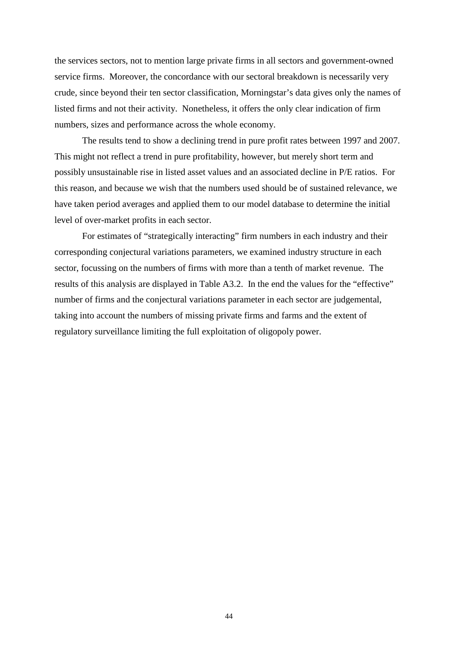the services sectors, not to mention large private firms in all sectors and government-owned service firms. Moreover, the concordance with our sectoral breakdown is necessarily very crude, since beyond their ten sector classification, Morningstar's data gives only the names of listed firms and not their activity. Nonetheless, it offers the only clear indication of firm numbers, sizes and performance across the whole economy.

The results tend to show a declining trend in pure profit rates between 1997 and 2007. This might not reflect a trend in pure profitability, however, but merely short term and possibly unsustainable rise in listed asset values and an associated decline in P/E ratios. For this reason, and because we wish that the numbers used should be of sustained relevance, we have taken period averages and applied them to our model database to determine the initial level of over-market profits in each sector.

For estimates of "strategically interacting" firm numbers in each industry and their corresponding conjectural variations parameters, we examined industry structure in each sector, focussing on the numbers of firms with more than a tenth of market revenue. The results of this analysis are displayed in Table A3.2. In the end the values for the "effective" number of firms and the conjectural variations parameter in each sector are judgemental, taking into account the numbers of missing private firms and farms and the extent of regulatory surveillance limiting the full exploitation of oligopoly power.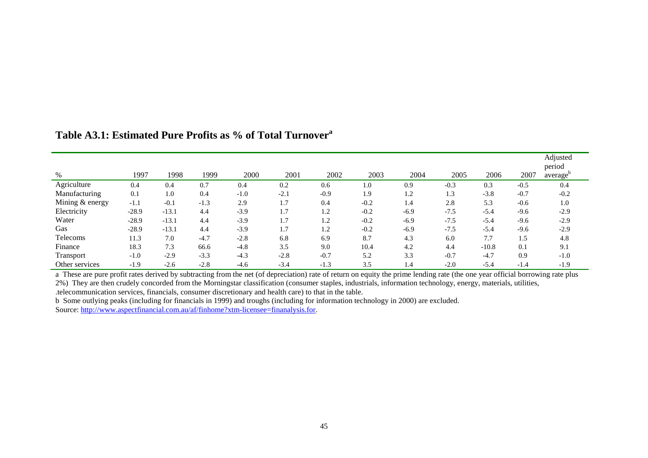| $\%$            | 1997    | 1998    | 1999   | 2000   | 2001   | 2002   | 2003   | 2004   | 2005   | 2006    | 2007   | Adjusted<br>period<br>average |
|-----------------|---------|---------|--------|--------|--------|--------|--------|--------|--------|---------|--------|-------------------------------|
| Agriculture     | 0.4     | 0.4     | 0.7    | 0.4    | 0.2    | 0.6    | 1.0    | 0.9    | $-0.3$ | 0.3     | $-0.5$ | 0.4                           |
| Manufacturing   | 0.1     | 1.0     | 0.4    | $-1.0$ | $-2.1$ | $-0.9$ | 1.9    | 1.2    | 1.3    | $-3.8$  | $-0.7$ | $-0.2$                        |
| Mining & energy | $-1.1$  | $-0.1$  | $-1.3$ | 2.9    | 1.7    | 0.4    | $-0.2$ | 1.4    | 2.8    | 5.3     | $-0.6$ | 1.0                           |
| Electricity     | $-28.9$ | $-13.1$ | 4.4    | $-3.9$ | 1.7    | 1.2    | $-0.2$ | $-6.9$ | $-7.5$ | $-5.4$  | $-9.6$ | $-2.9$                        |
| Water           | $-28.9$ | $-13.1$ | 4.4    | $-3.9$ | 1.7    | 1.2    | $-0.2$ | $-6.9$ | $-7.5$ | $-5.4$  | $-9.6$ | $-2.9$                        |
| Gas             | $-28.9$ | $-13.1$ | 4.4    | $-3.9$ | 1.7    | 1.2    | $-0.2$ | $-6.9$ | $-7.5$ | $-5.4$  | $-9.6$ | $-2.9$                        |
| Telecoms        | 11.3    | 7.0     | $-4.7$ | $-2.8$ | 6.8    | 6.9    | 8.7    | 4.3    | 6.0    | 7.7     | 1.5    | 4.8                           |
| Finance         | 18.3    | 7.3     | 66.6   | $-4.8$ | 3.5    | 9.0    | 10.4   | 4.2    | 4.4    | $-10.8$ | 0.1    | 9.1                           |
| Transport       | $-1.0$  | $-2.9$  | $-3.3$ | $-4.3$ | $-2.8$ | $-0.7$ | 5.2    | 3.3    | $-0.7$ | $-4.7$  | 0.9    | $-1.0$                        |
| Other services  | $-1.9$  | $-2.6$  | $-2.8$ | $-4.6$ | $-3.4$ | $-1.3$ | 3.5    | 1.4    | $-2.0$ | $-5.4$  | $-1.4$ | $-1.9$                        |

## **Table A3.1: Estimated Pure Profits as % of Total Turnover<sup>a</sup>**

a These are pure profit rates derived by subtracting from the net (of depreciation) rate of return on equity the prime lending rate (the one year official borrowing rate plus 2%) They are then crudely concorded from the Morningstar classification (consumer staples, industrials, information technology, energy, materials, utilities,

.telecommunication services, financials, consumer discretionary and health care) to that in the table.

b Some outlying peaks (including for financials in 1999) and troughs (including for information technology in 2000) are excluded.

Source: [http://www.aspectfinancial.com.au/af/finhome?xtm-licensee=finanalysis.for.](http://www.aspectfinancial.com.au/af/finhome?xtm-licensee=finanalysis.for)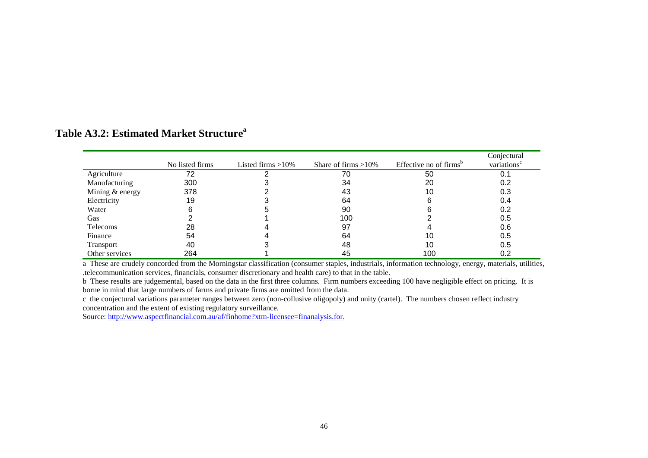|                 |                 |                      |                        |                                    | Conjectural             |
|-----------------|-----------------|----------------------|------------------------|------------------------------------|-------------------------|
|                 | No listed firms | Listed firms $>10\%$ | Share of firms $>10\%$ | Effective no of firms <sup>b</sup> | variations <sup>c</sup> |
| Agriculture     | 72              |                      | 70                     | 50                                 | 0.1                     |
| Manufacturing   | 300             |                      | 34                     | 20                                 | 0.2                     |
| Mining & energy | 378             |                      | 43                     | 10                                 | 0.3                     |
| Electricity     | 19              |                      | 64                     |                                    | 0.4                     |
| Water           |                 |                      | 90                     |                                    | 0.2                     |
| Gas             |                 |                      | 100                    |                                    | 0.5                     |
| Telecoms        | 28              |                      | 97                     |                                    | 0.6                     |
| Finance         | 54              |                      | 64                     | 10                                 | 0.5                     |
| Transport       | 40              |                      | 48                     | 10                                 | 0.5                     |
| Other services  | 264             |                      | 45                     | 100                                | 0.2                     |

## **Table A3.2: Estimated Market Structure<sup>a</sup>**

a These are crudely concorded from the Morningstar classification (consumer staples, industrials, information technology, energy, materials, utilities, .telecommunication services, financials, consumer discretionary and health care) to that in the table.

b These results are judgemental, based on the data in the first three columns. Firm numbers exceeding 100 have negligible effect on pricing. It is borne in mind that large numbers of farms and private firms are omitted from the data.

c the conjectural variations parameter ranges between zero (non-collusive oligopoly) and unity (cartel). The numbers chosen reflect industry concentration and the extent of existing regulatory surveillance.

Source: [http://www.aspectfinancial.com.au/af/finhome?xtm-licensee=finanalysis.for.](http://www.aspectfinancial.com.au/af/finhome?xtm-licensee=finanalysis.for)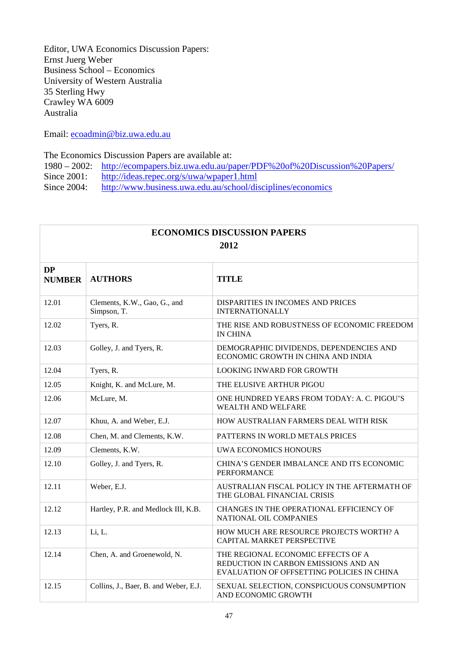Editor, UWA Economics Discussion Papers: Ernst Juerg Weber Business School – Economics University of Western Australia 35 Sterling Hwy Crawley WA 6009 Australia

Email: [ecoadmin@biz.uwa.edu.au](mailto:ecoadmin@biz.uwa.edu.au)

The Economics Discussion Papers are available at:<br>1980 – 2002: http://ecompapers.biz.uwa.edu.au/pa

- 1980 2002: <http://ecompapers.biz.uwa.edu.au/paper/PDF%20of%20Discussion%20Papers/><br>Since 2001: http://ideas.repec.org/s/uwa/wpaper1.html
- Since 2001: <http://ideas.repec.org/s/uwa/wpaper1.html><br>Since 2004: http://www.business.uwa.edu.au/school/dis
- <http://www.business.uwa.edu.au/school/disciplines/economics>

| <b>ECONOMICS DISCUSSION PAPERS</b><br>2012 |                                             |                                                                                                                          |  |
|--------------------------------------------|---------------------------------------------|--------------------------------------------------------------------------------------------------------------------------|--|
| <b>DP</b><br><b>NUMBER</b>                 | <b>AUTHORS</b>                              | <b>TITLE</b>                                                                                                             |  |
| 12.01                                      | Clements, K.W., Gao, G., and<br>Simpson, T. | DISPARITIES IN INCOMES AND PRICES<br><b>INTERNATIONALLY</b>                                                              |  |
| 12.02                                      | Tyers, R.                                   | THE RISE AND ROBUSTNESS OF ECONOMIC FREEDOM<br><b>IN CHINA</b>                                                           |  |
| 12.03                                      | Golley, J. and Tyers, R.                    | DEMOGRAPHIC DIVIDENDS, DEPENDENCIES AND<br>ECONOMIC GROWTH IN CHINA AND INDIA                                            |  |
| 12.04                                      | Tyers, R.                                   | <b>LOOKING INWARD FOR GROWTH</b>                                                                                         |  |
| 12.05                                      | Knight, K. and McLure, M.                   | THE ELUSIVE ARTHUR PIGOU                                                                                                 |  |
| 12.06                                      | McLure, M.                                  | ONE HUNDRED YEARS FROM TODAY: A. C. PIGOU'S<br><b>WEALTH AND WELFARE</b>                                                 |  |
| 12.07                                      | Khuu, A. and Weber, E.J.                    | HOW AUSTRALIAN FARMERS DEAL WITH RISK                                                                                    |  |
| 12.08                                      | Chen, M. and Clements, K.W.                 | PATTERNS IN WORLD METALS PRICES                                                                                          |  |
| 12.09                                      | Clements, K.W.                              | UWA ECONOMICS HONOURS                                                                                                    |  |
| 12.10                                      | Golley, J. and Tyers, R.                    | CHINA'S GENDER IMBALANCE AND ITS ECONOMIC<br><b>PERFORMANCE</b>                                                          |  |
| 12.11                                      | Weber, E.J.                                 | AUSTRALIAN FISCAL POLICY IN THE AFTERMATH OF<br>THE GLOBAL FINANCIAL CRISIS                                              |  |
| 12.12                                      | Hartley, P.R. and Medlock III, K.B.         | CHANGES IN THE OPERATIONAL EFFICIENCY OF<br>NATIONAL OIL COMPANIES                                                       |  |
| 12.13                                      | Li, L.                                      | HOW MUCH ARE RESOURCE PROJECTS WORTH? A<br>CAPITAL MARKET PERSPECTIVE                                                    |  |
| 12.14                                      | Chen, A. and Groenewold, N.                 | THE REGIONAL ECONOMIC EFFECTS OF A<br>REDUCTION IN CARBON EMISSIONS AND AN<br>EVALUATION OF OFFSETTING POLICIES IN CHINA |  |
| 12.15                                      | Collins, J., Baer, B. and Weber, E.J.       | SEXUAL SELECTION, CONSPICUOUS CONSUMPTION<br>AND ECONOMIC GROWTH                                                         |  |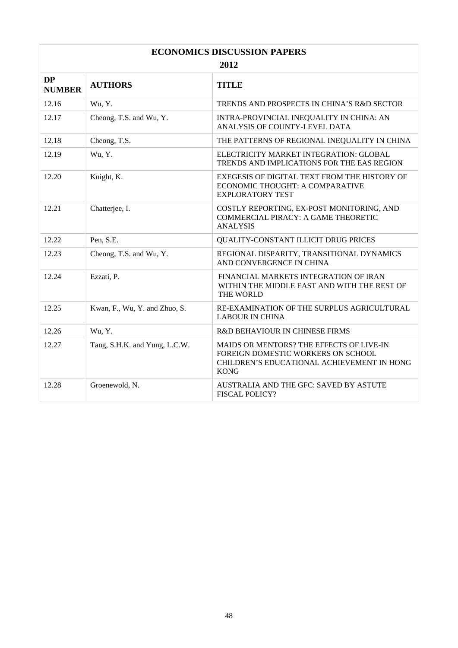| <b>ECONOMICS DISCUSSION PAPERS</b> |                               |                                                                                                                                             |  |
|------------------------------------|-------------------------------|---------------------------------------------------------------------------------------------------------------------------------------------|--|
| 2012                               |                               |                                                                                                                                             |  |
| <b>DP</b><br><b>NUMBER</b>         | <b>AUTHORS</b>                | <b>TITLE</b>                                                                                                                                |  |
| 12.16                              | Wu, Y.                        | TRENDS AND PROSPECTS IN CHINA'S R&D SECTOR                                                                                                  |  |
| 12.17                              | Cheong, T.S. and Wu, Y.       | INTRA-PROVINCIAL INEQUALITY IN CHINA: AN<br>ANALYSIS OF COUNTY-LEVEL DATA                                                                   |  |
| 12.18                              | Cheong, T.S.                  | THE PATTERNS OF REGIONAL INEQUALITY IN CHINA                                                                                                |  |
| 12.19                              | Wu, Y.                        | ELECTRICITY MARKET INTEGRATION: GLOBAL<br>TRENDS AND IMPLICATIONS FOR THE EAS REGION                                                        |  |
| 12.20                              | Knight, K.                    | EXEGESIS OF DIGITAL TEXT FROM THE HISTORY OF<br>ECONOMIC THOUGHT: A COMPARATIVE<br><b>EXPLORATORY TEST</b>                                  |  |
| 12.21                              | Chatterjee, I.                | COSTLY REPORTING, EX-POST MONITORING, AND<br>COMMERCIAL PIRACY: A GAME THEORETIC<br><b>ANALYSIS</b>                                         |  |
| 12.22                              | Pen, S.E.                     | QUALITY-CONSTANT ILLICIT DRUG PRICES                                                                                                        |  |
| 12.23                              | Cheong, T.S. and Wu, Y.       | REGIONAL DISPARITY, TRANSITIONAL DYNAMICS<br>AND CONVERGENCE IN CHINA                                                                       |  |
| 12.24                              | Ezzati, P.                    | FINANCIAL MARKETS INTEGRATION OF IRAN<br>WITHIN THE MIDDLE EAST AND WITH THE REST OF<br>THE WORLD                                           |  |
| 12.25                              | Kwan, F., Wu, Y. and Zhuo, S. | RE-EXAMINATION OF THE SURPLUS AGRICULTURAL<br><b>LABOUR IN CHINA</b>                                                                        |  |
| 12.26                              | Wu, Y.                        | <b>R&amp;D BEHAVIOUR IN CHINESE FIRMS</b>                                                                                                   |  |
| 12.27                              | Tang, S.H.K. and Yung, L.C.W. | MAIDS OR MENTORS? THE EFFECTS OF LIVE-IN<br>FOREIGN DOMESTIC WORKERS ON SCHOOL<br>CHILDREN'S EDUCATIONAL ACHIEVEMENT IN HONG<br><b>KONG</b> |  |
| 12.28                              | Groenewold, N.                | AUSTRALIA AND THE GFC: SAVED BY ASTUTE<br><b>FISCAL POLICY?</b>                                                                             |  |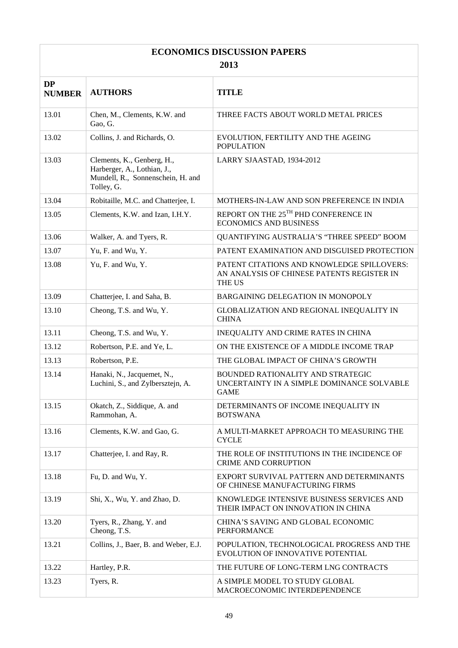# **ECONOMICS DISCUSSION PAPERS**

**2013**

| DP<br><b>NUMBER</b> | <b>AUTHORS</b>                                                                                               | <b>TITLE</b>                                                                                       |
|---------------------|--------------------------------------------------------------------------------------------------------------|----------------------------------------------------------------------------------------------------|
| 13.01               | Chen, M., Clements, K.W. and<br>Gao, G.                                                                      | THREE FACTS ABOUT WORLD METAL PRICES                                                               |
| 13.02               | Collins, J. and Richards, O.                                                                                 | EVOLUTION, FERTILITY AND THE AGEING<br><b>POPULATION</b>                                           |
| 13.03               | Clements, K., Genberg, H.,<br>Harberger, A., Lothian, J.,<br>Mundell, R., Sonnenschein, H. and<br>Tolley, G. | LARRY SJAASTAD, 1934-2012                                                                          |
| 13.04               | Robitaille, M.C. and Chatterjee, I.                                                                          | MOTHERS-IN-LAW AND SON PREFERENCE IN INDIA                                                         |
| 13.05               | Clements, K.W. and Izan, I.H.Y.                                                                              | REPORT ON THE 25TH PHD CONFERENCE IN<br><b>ECONOMICS AND BUSINESS</b>                              |
| 13.06               | Walker, A. and Tyers, R.                                                                                     | QUANTIFYING AUSTRALIA'S "THREE SPEED" BOOM                                                         |
| 13.07               | Yu, F. and Wu, Y.                                                                                            | PATENT EXAMINATION AND DISGUISED PROTECTION                                                        |
| 13.08               | Yu, F. and Wu, Y.                                                                                            | PATENT CITATIONS AND KNOWLEDGE SPILLOVERS:<br>AN ANALYSIS OF CHINESE PATENTS REGISTER IN<br>THE US |
| 13.09               | Chatterjee, I. and Saha, B.                                                                                  | BARGAINING DELEGATION IN MONOPOLY                                                                  |
| 13.10               | Cheong, T.S. and Wu, Y.                                                                                      | GLOBALIZATION AND REGIONAL INEQUALITY IN<br><b>CHINA</b>                                           |
| 13.11               | Cheong, T.S. and Wu, Y.                                                                                      | INEQUALITY AND CRIME RATES IN CHINA                                                                |
| 13.12               | Robertson, P.E. and Ye, L.                                                                                   | ON THE EXISTENCE OF A MIDDLE INCOME TRAP                                                           |
| 13.13               | Robertson, P.E.                                                                                              | THE GLOBAL IMPACT OF CHINA'S GROWTH                                                                |
| 13.14               | Hanaki, N., Jacquemet, N.,<br>Luchini, S., and Zylbersztejn, A.                                              | BOUNDED RATIONALITY AND STRATEGIC<br>UNCERTAINTY IN A SIMPLE DOMINANCE SOLVABLE<br><b>GAME</b>     |
| 13.15               | Okatch, Z., Siddique, A. and<br>Rammohan, A.                                                                 | DETERMINANTS OF INCOME INEQUALITY IN<br><b>BOTSWANA</b>                                            |
| 13.16               | Clements, K.W. and Gao, G.                                                                                   | A MULTI-MARKET APPROACH TO MEASURING THE<br><b>CYCLE</b>                                           |
| 13.17               | Chatterjee, I. and Ray, R.                                                                                   | THE ROLE OF INSTITUTIONS IN THE INCIDENCE OF<br><b>CRIME AND CORRUPTION</b>                        |
| 13.18               | Fu, D. and Wu, Y.                                                                                            | EXPORT SURVIVAL PATTERN AND DETERMINANTS<br>OF CHINESE MANUFACTURING FIRMS                         |
| 13.19               | Shi, X., Wu, Y. and Zhao, D.                                                                                 | KNOWLEDGE INTENSIVE BUSINESS SERVICES AND<br>THEIR IMPACT ON INNOVATION IN CHINA                   |
| 13.20               | Tyers, R., Zhang, Y. and<br>Cheong, T.S.                                                                     | CHINA'S SAVING AND GLOBAL ECONOMIC<br><b>PERFORMANCE</b>                                           |
| 13.21               | Collins, J., Baer, B. and Weber, E.J.                                                                        | POPULATION, TECHNOLOGICAL PROGRESS AND THE<br>EVOLUTION OF INNOVATIVE POTENTIAL                    |
| 13.22               | Hartley, P.R.                                                                                                | THE FUTURE OF LONG-TERM LNG CONTRACTS                                                              |
| 13.23               | Tyers, R.                                                                                                    | A SIMPLE MODEL TO STUDY GLOBAL<br>MACROECONOMIC INTERDEPENDENCE                                    |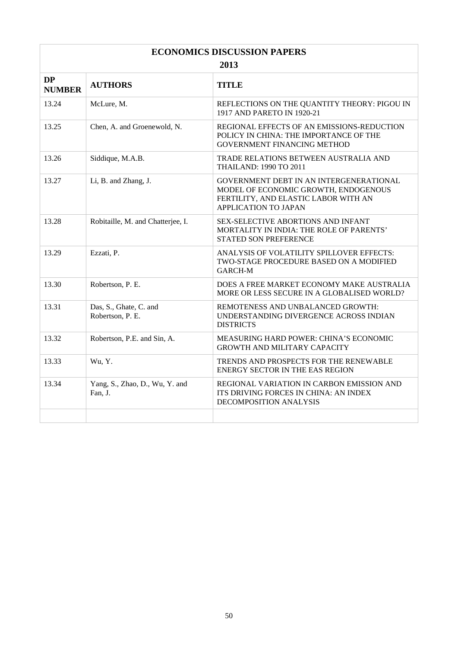| <b>ECONOMICS DISCUSSION PAPERS</b><br>2013 |                                            |                                                                                                                                                        |  |
|--------------------------------------------|--------------------------------------------|--------------------------------------------------------------------------------------------------------------------------------------------------------|--|
| <b>DP</b><br><b>NUMBER</b>                 | <b>AUTHORS</b>                             | <b>TITLE</b>                                                                                                                                           |  |
| 13.24                                      | McLure, M.                                 | REFLECTIONS ON THE QUANTITY THEORY: PIGOU IN<br>1917 AND PARETO IN 1920-21                                                                             |  |
| 13.25                                      | Chen, A. and Groenewold, N.                | REGIONAL EFFECTS OF AN EMISSIONS-REDUCTION<br>POLICY IN CHINA: THE IMPORTANCE OF THE<br><b>GOVERNMENT FINANCING METHOD</b>                             |  |
| 13.26                                      | Siddique, M.A.B.                           | TRADE RELATIONS BETWEEN AUSTRALIA AND<br><b>THAILAND: 1990 TO 2011</b>                                                                                 |  |
| 13.27                                      | Li, B. and Zhang, J.                       | GOVERNMENT DEBT IN AN INTERGENERATIONAL<br>MODEL OF ECONOMIC GROWTH, ENDOGENOUS<br>FERTILITY, AND ELASTIC LABOR WITH AN<br><b>APPLICATION TO JAPAN</b> |  |
| 13.28                                      | Robitaille, M. and Chatterjee, I.          | SEX-SELECTIVE ABORTIONS AND INFANT<br>MORTALITY IN INDIA: THE ROLE OF PARENTS'<br><b>STATED SON PREFERENCE</b>                                         |  |
| 13.29                                      | Ezzati, P.                                 | ANALYSIS OF VOLATILITY SPILLOVER EFFECTS:<br>TWO-STAGE PROCEDURE BASED ON A MODIFIED<br><b>GARCH-M</b>                                                 |  |
| 13.30                                      | Robertson, P. E.                           | DOES A FREE MARKET ECONOMY MAKE AUSTRALIA<br>MORE OR LESS SECURE IN A GLOBALISED WORLD?                                                                |  |
| 13.31                                      | Das, S., Ghate, C. and<br>Robertson, P. E. | REMOTENESS AND UNBALANCED GROWTH:<br>UNDERSTANDING DIVERGENCE ACROSS INDIAN<br><b>DISTRICTS</b>                                                        |  |
| 13.32                                      | Robertson, P.E. and Sin, A.                | MEASURING HARD POWER: CHINA'S ECONOMIC<br><b>GROWTH AND MILITARY CAPACITY</b>                                                                          |  |
| 13.33                                      | Wu, Y.                                     | TRENDS AND PROSPECTS FOR THE RENEWABLE<br>ENERGY SECTOR IN THE EAS REGION                                                                              |  |
| 13.34                                      | Yang, S., Zhao, D., Wu, Y. and<br>Fan, J.  | REGIONAL VARIATION IN CARBON EMISSION AND<br>ITS DRIVING FORCES IN CHINA: AN INDEX<br>DECOMPOSITION ANALYSIS                                           |  |
|                                            |                                            |                                                                                                                                                        |  |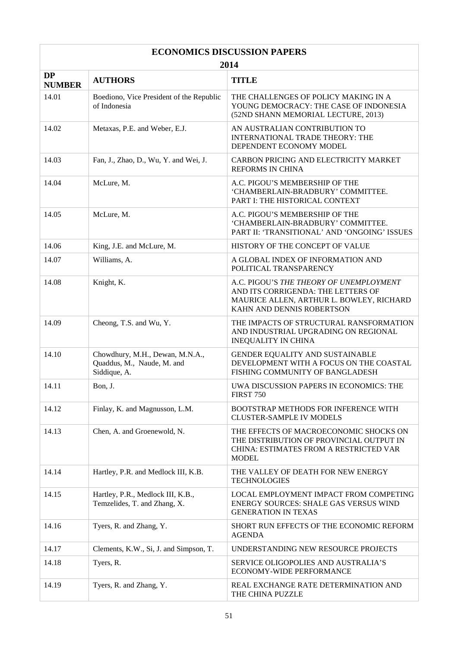| <b>ECONOMICS DISCUSSION PAPERS</b> |                                                                               |                                                                                                                                                        |  |
|------------------------------------|-------------------------------------------------------------------------------|--------------------------------------------------------------------------------------------------------------------------------------------------------|--|
| 2014                               |                                                                               |                                                                                                                                                        |  |
| <b>DP</b><br><b>NUMBER</b>         | <b>AUTHORS</b>                                                                | <b>TITLE</b>                                                                                                                                           |  |
| 14.01                              | Boediono, Vice President of the Republic<br>of Indonesia                      | THE CHALLENGES OF POLICY MAKING IN A<br>YOUNG DEMOCRACY: THE CASE OF INDONESIA<br>(52ND SHANN MEMORIAL LECTURE, 2013)                                  |  |
| 14.02                              | Metaxas, P.E. and Weber, E.J.                                                 | AN AUSTRALIAN CONTRIBUTION TO<br>INTERNATIONAL TRADE THEORY: THE<br>DEPENDENT ECONOMY MODEL                                                            |  |
| 14.03                              | Fan, J., Zhao, D., Wu, Y. and Wei, J.                                         | CARBON PRICING AND ELECTRICITY MARKET<br>REFORMS IN CHINA                                                                                              |  |
| 14.04                              | McLure, M.                                                                    | A.C. PIGOU'S MEMBERSHIP OF THE<br>'CHAMBERLAIN-BRADBURY' COMMITTEE.<br>PART I: THE HISTORICAL CONTEXT                                                  |  |
| 14.05                              | McLure, M.                                                                    | A.C. PIGOU'S MEMBERSHIP OF THE<br>'CHAMBERLAIN-BRADBURY' COMMITTEE.<br>PART II: 'TRANSITIONAL' AND 'ONGOING' ISSUES                                    |  |
| 14.06                              | King, J.E. and McLure, M.                                                     | HISTORY OF THE CONCEPT OF VALUE                                                                                                                        |  |
| 14.07                              | Williams, A.                                                                  | A GLOBAL INDEX OF INFORMATION AND<br>POLITICAL TRANSPARENCY                                                                                            |  |
| 14.08                              | Knight, K.                                                                    | A.C. PIGOU'S THE THEORY OF UNEMPLOYMENT<br>AND ITS CORRIGENDA: THE LETTERS OF<br>MAURICE ALLEN, ARTHUR L. BOWLEY, RICHARD<br>KAHN AND DENNIS ROBERTSON |  |
| 14.09                              | Cheong, T.S. and Wu, Y.                                                       | THE IMPACTS OF STRUCTURAL RANSFORMATION<br>AND INDUSTRIAL UPGRADING ON REGIONAL<br><b>INEQUALITY IN CHINA</b>                                          |  |
| 14.10                              | Chowdhury, M.H., Dewan, M.N.A.,<br>Quaddus, M., Naude, M. and<br>Siddique, A. | GENDER EQUALITY AND SUSTAINABLE<br>DEVELOPMENT WITH A FOCUS ON THE COASTAL<br>FISHING COMMUNITY OF BANGLADESH                                          |  |
| 14.11                              | Bon, J.                                                                       | UWA DISCUSSION PAPERS IN ECONOMICS: THE<br><b>FIRST 750</b>                                                                                            |  |
| 14.12                              | Finlay, K. and Magnusson, L.M.                                                | <b>BOOTSTRAP METHODS FOR INFERENCE WITH</b><br><b>CLUSTER-SAMPLE IV MODELS</b>                                                                         |  |
| 14.13                              | Chen, A. and Groenewold, N.                                                   | THE EFFECTS OF MACROECONOMIC SHOCKS ON<br>THE DISTRIBUTION OF PROVINCIAL OUTPUT IN<br>CHINA: ESTIMATES FROM A RESTRICTED VAR<br><b>MODEL</b>           |  |
| 14.14                              | Hartley, P.R. and Medlock III, K.B.                                           | THE VALLEY OF DEATH FOR NEW ENERGY<br><b>TECHNOLOGIES</b>                                                                                              |  |
| 14.15                              | Hartley, P.R., Medlock III, K.B.,<br>Temzelides, T. and Zhang, X.             | LOCAL EMPLOYMENT IMPACT FROM COMPETING<br>ENERGY SOURCES: SHALE GAS VERSUS WIND<br><b>GENERATION IN TEXAS</b>                                          |  |
| 14.16                              | Tyers, R. and Zhang, Y.                                                       | SHORT RUN EFFECTS OF THE ECONOMIC REFORM<br><b>AGENDA</b>                                                                                              |  |
| 14.17                              | Clements, K.W., Si, J. and Simpson, T.                                        | UNDERSTANDING NEW RESOURCE PROJECTS                                                                                                                    |  |
| 14.18                              | Tyers, R.                                                                     | SERVICE OLIGOPOLIES AND AUSTRALIA'S<br>ECONOMY-WIDE PERFORMANCE                                                                                        |  |
| 14.19                              | Tyers, R. and Zhang, Y.                                                       | REAL EXCHANGE RATE DETERMINATION AND<br>THE CHINA PUZZLE                                                                                               |  |